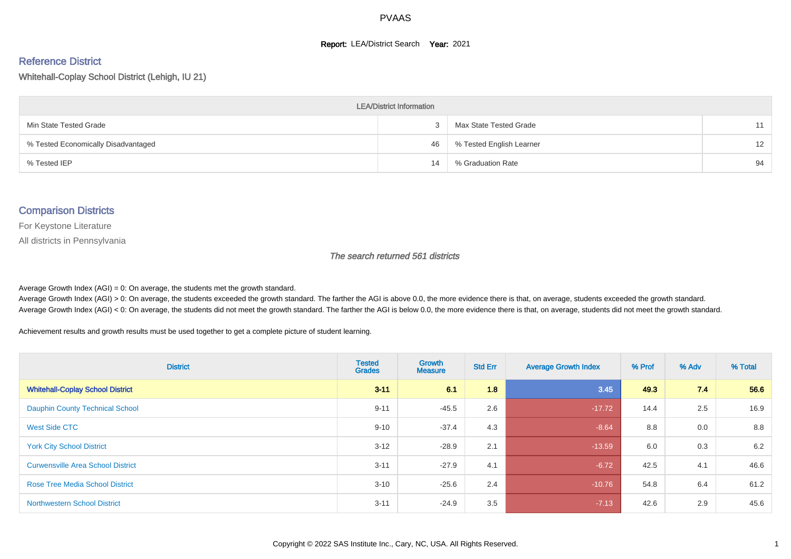#### **Report: LEA/District Search Year: 2021**

#### Reference District

Whitehall-Coplay School District (Lehigh, IU 21)

| <b>LEA/District Information</b>     |    |                          |    |  |  |  |  |  |  |  |
|-------------------------------------|----|--------------------------|----|--|--|--|--|--|--|--|
| Min State Tested Grade              |    | Max State Tested Grade   | 11 |  |  |  |  |  |  |  |
| % Tested Economically Disadvantaged | 46 | % Tested English Learner | 12 |  |  |  |  |  |  |  |
| % Tested IEP                        | 14 | % Graduation Rate        | 94 |  |  |  |  |  |  |  |

#### Comparison Districts

For Keystone Literature

All districts in Pennsylvania

The search returned 561 districts

Average Growth Index  $(AGI) = 0$ : On average, the students met the growth standard.

Average Growth Index (AGI) > 0: On average, the students exceeded the growth standard. The farther the AGI is above 0.0, the more evidence there is that, on average, students exceeded the growth standard. Average Growth Index (AGI) < 0: On average, the students did not meet the growth standard. The farther the AGI is below 0.0, the more evidence there is that, on average, students did not meet the growth standard.

Achievement results and growth results must be used together to get a complete picture of student learning.

| <b>District</b>                          | <b>Tested</b><br><b>Grades</b> | Growth<br><b>Measure</b> | <b>Std Err</b> | <b>Average Growth Index</b> | % Prof | % Adv | % Total |
|------------------------------------------|--------------------------------|--------------------------|----------------|-----------------------------|--------|-------|---------|
| <b>Whitehall-Coplay School District</b>  | $3 - 11$                       | 6.1                      | 1.8            | 3.45                        | 49.3   | 7.4   | 56.6    |
| <b>Dauphin County Technical School</b>   | $9 - 11$                       | $-45.5$                  | 2.6            | $-17.72$                    | 14.4   | 2.5   | 16.9    |
| West Side CTC                            | $9 - 10$                       | $-37.4$                  | 4.3            | $-8.64$                     | 8.8    | 0.0   | 8.8     |
| <b>York City School District</b>         | $3 - 12$                       | $-28.9$                  | 2.1            | $-13.59$                    | 6.0    | 0.3   | 6.2     |
| <b>Curwensville Area School District</b> | $3 - 11$                       | $-27.9$                  | 4.1            | $-6.72$                     | 42.5   | 4.1   | 46.6    |
| <b>Rose Tree Media School District</b>   | $3 - 10$                       | $-25.6$                  | 2.4            | $-10.76$                    | 54.8   | 6.4   | 61.2    |
| <b>Northwestern School District</b>      | $3 - 11$                       | $-24.9$                  | 3.5            | $-7.13$                     | 42.6   | 2.9   | 45.6    |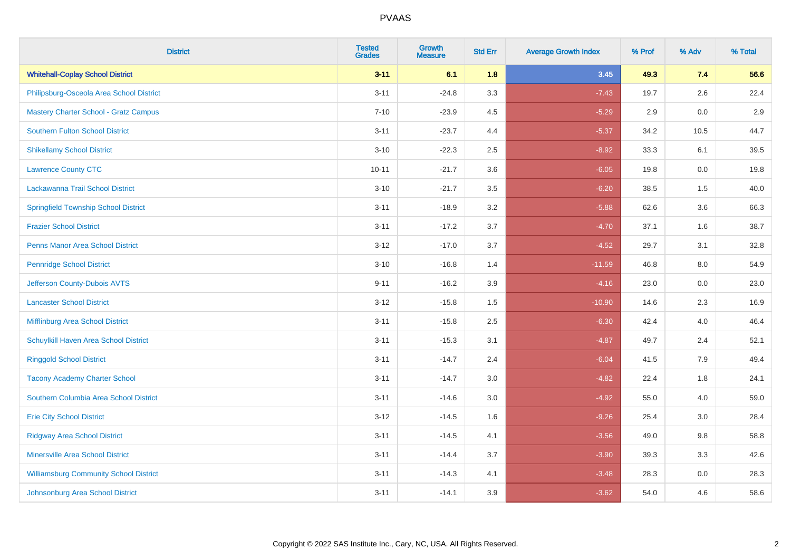| <b>District</b>                               | <b>Tested</b><br><b>Grades</b> | <b>Growth</b><br><b>Measure</b> | <b>Std Err</b> | <b>Average Growth Index</b> | % Prof | % Adv   | % Total |
|-----------------------------------------------|--------------------------------|---------------------------------|----------------|-----------------------------|--------|---------|---------|
| <b>Whitehall-Coplay School District</b>       | $3 - 11$                       | 6.1                             | 1.8            | 3.45                        | 49.3   | 7.4     | 56.6    |
| Philipsburg-Osceola Area School District      | $3 - 11$                       | $-24.8$                         | 3.3            | $-7.43$                     | 19.7   | $2.6\,$ | 22.4    |
| <b>Mastery Charter School - Gratz Campus</b>  | $7 - 10$                       | $-23.9$                         | 4.5            | $-5.29$                     | 2.9    | 0.0     | 2.9     |
| <b>Southern Fulton School District</b>        | $3 - 11$                       | $-23.7$                         | 4.4            | $-5.37$                     | 34.2   | 10.5    | 44.7    |
| <b>Shikellamy School District</b>             | $3 - 10$                       | $-22.3$                         | 2.5            | $-8.92$                     | 33.3   | 6.1     | 39.5    |
| <b>Lawrence County CTC</b>                    | $10 - 11$                      | $-21.7$                         | 3.6            | $-6.05$                     | 19.8   | 0.0     | 19.8    |
| Lackawanna Trail School District              | $3 - 10$                       | $-21.7$                         | 3.5            | $-6.20$                     | 38.5   | 1.5     | 40.0    |
| <b>Springfield Township School District</b>   | $3 - 11$                       | $-18.9$                         | 3.2            | $-5.88$                     | 62.6   | 3.6     | 66.3    |
| <b>Frazier School District</b>                | $3 - 11$                       | $-17.2$                         | 3.7            | $-4.70$                     | 37.1   | 1.6     | 38.7    |
| <b>Penns Manor Area School District</b>       | $3 - 12$                       | $-17.0$                         | 3.7            | $-4.52$                     | 29.7   | 3.1     | 32.8    |
| <b>Pennridge School District</b>              | $3 - 10$                       | $-16.8$                         | 1.4            | $-11.59$                    | 46.8   | 8.0     | 54.9    |
| Jefferson County-Dubois AVTS                  | $9 - 11$                       | $-16.2$                         | 3.9            | $-4.16$                     | 23.0   | 0.0     | 23.0    |
| <b>Lancaster School District</b>              | $3 - 12$                       | $-15.8$                         | $1.5$          | $-10.90$                    | 14.6   | $2.3\,$ | 16.9    |
| <b>Mifflinburg Area School District</b>       | $3 - 11$                       | $-15.8$                         | 2.5            | $-6.30$                     | 42.4   | 4.0     | 46.4    |
| Schuylkill Haven Area School District         | $3 - 11$                       | $-15.3$                         | 3.1            | $-4.87$                     | 49.7   | 2.4     | 52.1    |
| <b>Ringgold School District</b>               | $3 - 11$                       | $-14.7$                         | 2.4            | $-6.04$                     | 41.5   | 7.9     | 49.4    |
| <b>Tacony Academy Charter School</b>          | $3 - 11$                       | $-14.7$                         | 3.0            | $-4.82$                     | 22.4   | 1.8     | 24.1    |
| Southern Columbia Area School District        | $3 - 11$                       | $-14.6$                         | 3.0            | $-4.92$                     | 55.0   | 4.0     | 59.0    |
| <b>Erie City School District</b>              | $3 - 12$                       | $-14.5$                         | 1.6            | $-9.26$                     | 25.4   | 3.0     | 28.4    |
| <b>Ridgway Area School District</b>           | $3 - 11$                       | $-14.5$                         | 4.1            | $-3.56$                     | 49.0   | 9.8     | 58.8    |
| <b>Minersville Area School District</b>       | $3 - 11$                       | $-14.4$                         | 3.7            | $-3.90$                     | 39.3   | 3.3     | 42.6    |
| <b>Williamsburg Community School District</b> | $3 - 11$                       | $-14.3$                         | 4.1            | $-3.48$                     | 28.3   | 0.0     | 28.3    |
| Johnsonburg Area School District              | $3 - 11$                       | $-14.1$                         | 3.9            | $-3.62$                     | 54.0   | 4.6     | 58.6    |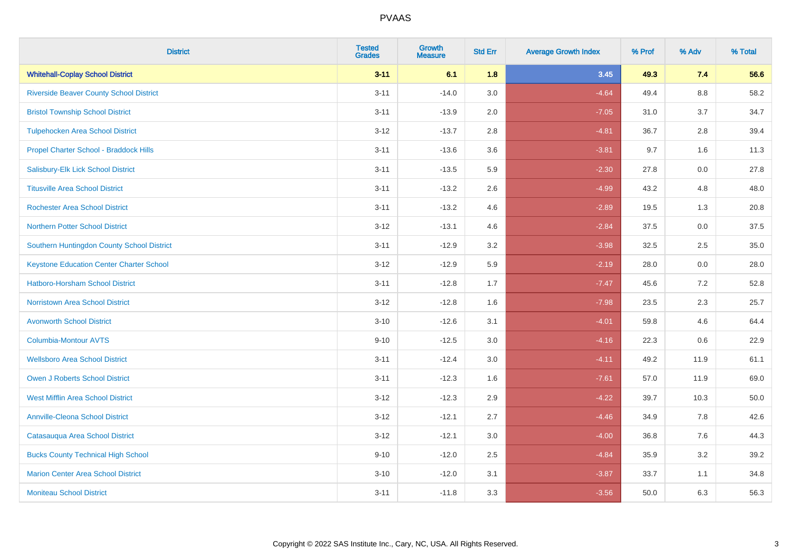| <b>District</b>                                 | <b>Tested</b><br><b>Grades</b> | Growth<br><b>Measure</b> | <b>Std Err</b> | <b>Average Growth Index</b> | % Prof | % Adv   | % Total |
|-------------------------------------------------|--------------------------------|--------------------------|----------------|-----------------------------|--------|---------|---------|
| <b>Whitehall-Coplay School District</b>         | $3 - 11$                       | 6.1                      | 1.8            | 3.45                        | 49.3   | 7.4     | 56.6    |
| <b>Riverside Beaver County School District</b>  | $3 - 11$                       | $-14.0$                  | 3.0            | $-4.64$                     | 49.4   | 8.8     | 58.2    |
| <b>Bristol Township School District</b>         | $3 - 11$                       | $-13.9$                  | 2.0            | $-7.05$                     | 31.0   | 3.7     | 34.7    |
| <b>Tulpehocken Area School District</b>         | $3 - 12$                       | $-13.7$                  | 2.8            | $-4.81$                     | 36.7   | 2.8     | 39.4    |
| Propel Charter School - Braddock Hills          | $3 - 11$                       | $-13.6$                  | 3.6            | $-3.81$                     | 9.7    | 1.6     | 11.3    |
| Salisbury-Elk Lick School District              | $3 - 11$                       | $-13.5$                  | 5.9            | $-2.30$                     | 27.8   | $0.0\,$ | 27.8    |
| <b>Titusville Area School District</b>          | $3 - 11$                       | $-13.2$                  | 2.6            | $-4.99$                     | 43.2   | 4.8     | 48.0    |
| <b>Rochester Area School District</b>           | $3 - 11$                       | $-13.2$                  | 4.6            | $-2.89$                     | 19.5   | 1.3     | 20.8    |
| <b>Northern Potter School District</b>          | $3 - 12$                       | $-13.1$                  | 4.6            | $-2.84$                     | 37.5   | 0.0     | 37.5    |
| Southern Huntingdon County School District      | $3 - 11$                       | $-12.9$                  | 3.2            | $-3.98$                     | 32.5   | 2.5     | 35.0    |
| <b>Keystone Education Center Charter School</b> | $3 - 12$                       | $-12.9$                  | 5.9            | $-2.19$                     | 28.0   | 0.0     | 28.0    |
| Hatboro-Horsham School District                 | $3 - 11$                       | $-12.8$                  | 1.7            | $-7.47$                     | 45.6   | 7.2     | 52.8    |
| Norristown Area School District                 | $3 - 12$                       | $-12.8$                  | 1.6            | $-7.98$                     | 23.5   | $2.3\,$ | 25.7    |
| <b>Avonworth School District</b>                | $3 - 10$                       | $-12.6$                  | 3.1            | $-4.01$                     | 59.8   | 4.6     | 64.4    |
| <b>Columbia-Montour AVTS</b>                    | $9 - 10$                       | $-12.5$                  | 3.0            | $-4.16$                     | 22.3   | 0.6     | 22.9    |
| <b>Wellsboro Area School District</b>           | $3 - 11$                       | $-12.4$                  | 3.0            | $-4.11$                     | 49.2   | 11.9    | 61.1    |
| <b>Owen J Roberts School District</b>           | $3 - 11$                       | $-12.3$                  | 1.6            | $-7.61$                     | 57.0   | 11.9    | 69.0    |
| <b>West Mifflin Area School District</b>        | $3 - 12$                       | $-12.3$                  | 2.9            | $-4.22$                     | 39.7   | 10.3    | 50.0    |
| <b>Annville-Cleona School District</b>          | $3 - 12$                       | $-12.1$                  | 2.7            | $-4.46$                     | 34.9   | 7.8     | 42.6    |
| Catasauqua Area School District                 | $3 - 12$                       | $-12.1$                  | 3.0            | $-4.00$                     | 36.8   | 7.6     | 44.3    |
| <b>Bucks County Technical High School</b>       | $9 - 10$                       | $-12.0$                  | 2.5            | $-4.84$                     | 35.9   | 3.2     | 39.2    |
| <b>Marion Center Area School District</b>       | $3 - 10$                       | $-12.0$                  | 3.1            | $-3.87$                     | 33.7   | 1.1     | 34.8    |
| <b>Moniteau School District</b>                 | $3 - 11$                       | $-11.8$                  | 3.3            | $-3.56$                     | 50.0   | 6.3     | 56.3    |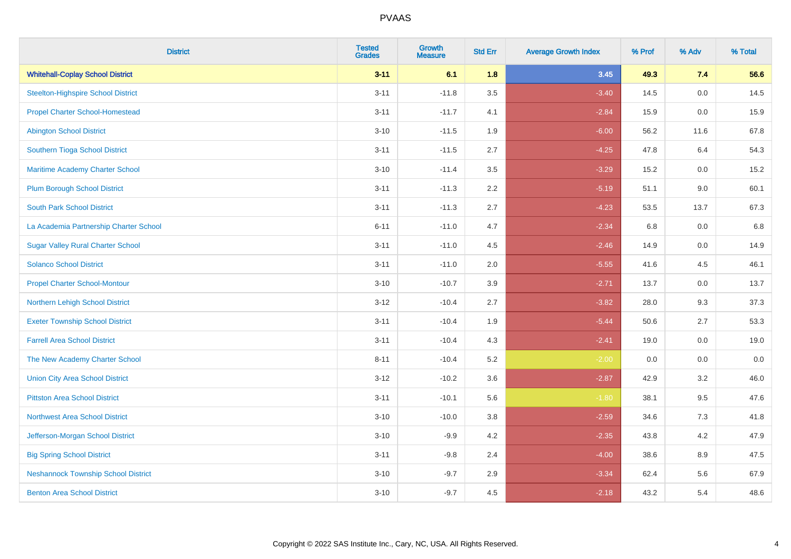| <b>District</b>                            | <b>Tested</b><br><b>Grades</b> | Growth<br><b>Measure</b> | <b>Std Err</b> | <b>Average Growth Index</b> | % Prof | % Adv   | % Total |
|--------------------------------------------|--------------------------------|--------------------------|----------------|-----------------------------|--------|---------|---------|
| <b>Whitehall-Coplay School District</b>    | $3 - 11$                       | 6.1                      | 1.8            | 3.45                        | 49.3   | 7.4     | 56.6    |
| <b>Steelton-Highspire School District</b>  | $3 - 11$                       | $-11.8$                  | 3.5            | $-3.40$                     | 14.5   | $0.0\,$ | 14.5    |
| <b>Propel Charter School-Homestead</b>     | $3 - 11$                       | $-11.7$                  | 4.1            | $-2.84$                     | 15.9   | 0.0     | 15.9    |
| <b>Abington School District</b>            | $3 - 10$                       | $-11.5$                  | 1.9            | $-6.00$                     | 56.2   | 11.6    | 67.8    |
| Southern Tioga School District             | $3 - 11$                       | $-11.5$                  | 2.7            | $-4.25$                     | 47.8   | 6.4     | 54.3    |
| Maritime Academy Charter School            | $3 - 10$                       | $-11.4$                  | 3.5            | $-3.29$                     | 15.2   | 0.0     | 15.2    |
| <b>Plum Borough School District</b>        | $3 - 11$                       | $-11.3$                  | 2.2            | $-5.19$                     | 51.1   | 9.0     | 60.1    |
| <b>South Park School District</b>          | $3 - 11$                       | $-11.3$                  | 2.7            | $-4.23$                     | 53.5   | 13.7    | 67.3    |
| La Academia Partnership Charter School     | $6 - 11$                       | $-11.0$                  | 4.7            | $-2.34$                     | 6.8    | 0.0     | 6.8     |
| <b>Sugar Valley Rural Charter School</b>   | $3 - 11$                       | $-11.0$                  | 4.5            | $-2.46$                     | 14.9   | 0.0     | 14.9    |
| <b>Solanco School District</b>             | $3 - 11$                       | $-11.0$                  | 2.0            | $-5.55$                     | 41.6   | 4.5     | 46.1    |
| <b>Propel Charter School-Montour</b>       | $3 - 10$                       | $-10.7$                  | 3.9            | $-2.71$                     | 13.7   | 0.0     | 13.7    |
| Northern Lehigh School District            | $3 - 12$                       | $-10.4$                  | 2.7            | $-3.82$                     | 28.0   | 9.3     | 37.3    |
| <b>Exeter Township School District</b>     | $3 - 11$                       | $-10.4$                  | 1.9            | $-5.44$                     | 50.6   | 2.7     | 53.3    |
| <b>Farrell Area School District</b>        | $3 - 11$                       | $-10.4$                  | 4.3            | $-2.41$                     | 19.0   | 0.0     | 19.0    |
| The New Academy Charter School             | $8 - 11$                       | $-10.4$                  | 5.2            | $-2.00$                     | 0.0    | 0.0     | $0.0\,$ |
| <b>Union City Area School District</b>     | $3 - 12$                       | $-10.2$                  | 3.6            | $-2.87$                     | 42.9   | 3.2     | 46.0    |
| <b>Pittston Area School District</b>       | $3 - 11$                       | $-10.1$                  | 5.6            | $-1.80$                     | 38.1   | 9.5     | 47.6    |
| <b>Northwest Area School District</b>      | $3 - 10$                       | $-10.0$                  | 3.8            | $-2.59$                     | 34.6   | 7.3     | 41.8    |
| Jefferson-Morgan School District           | $3 - 10$                       | $-9.9$                   | 4.2            | $-2.35$                     | 43.8   | 4.2     | 47.9    |
| <b>Big Spring School District</b>          | $3 - 11$                       | $-9.8$                   | 2.4            | $-4.00$                     | 38.6   | 8.9     | 47.5    |
| <b>Neshannock Township School District</b> | $3 - 10$                       | $-9.7$                   | 2.9            | $-3.34$                     | 62.4   | 5.6     | 67.9    |
| <b>Benton Area School District</b>         | $3 - 10$                       | $-9.7$                   | 4.5            | $-2.18$                     | 43.2   | 5.4     | 48.6    |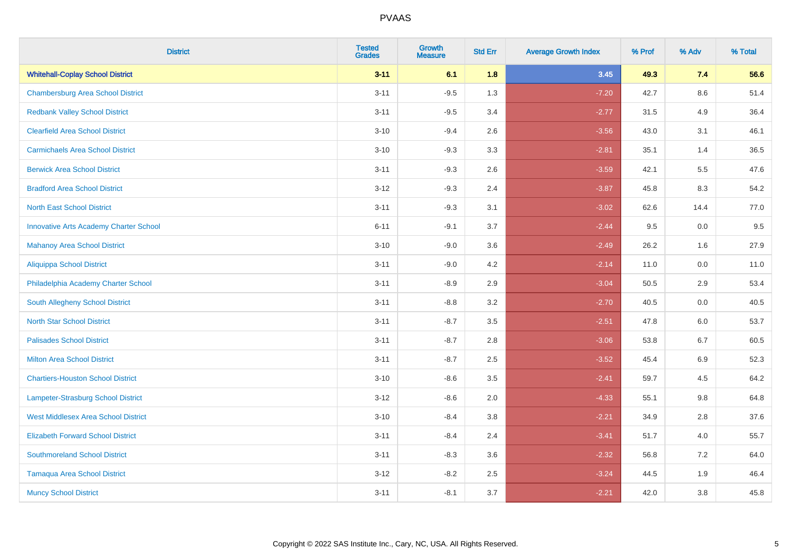| <b>District</b>                               | <b>Tested</b><br><b>Grades</b> | <b>Growth</b><br><b>Measure</b> | <b>Std Err</b> | <b>Average Growth Index</b> | % Prof | % Adv   | % Total |
|-----------------------------------------------|--------------------------------|---------------------------------|----------------|-----------------------------|--------|---------|---------|
| <b>Whitehall-Coplay School District</b>       | $3 - 11$                       | 6.1                             | 1.8            | 3.45                        | 49.3   | 7.4     | 56.6    |
| <b>Chambersburg Area School District</b>      | $3 - 11$                       | $-9.5$                          | 1.3            | $-7.20$                     | 42.7   | $8.6\,$ | 51.4    |
| <b>Redbank Valley School District</b>         | $3 - 11$                       | $-9.5$                          | 3.4            | $-2.77$                     | 31.5   | 4.9     | 36.4    |
| <b>Clearfield Area School District</b>        | $3 - 10$                       | $-9.4$                          | 2.6            | $-3.56$                     | 43.0   | 3.1     | 46.1    |
| <b>Carmichaels Area School District</b>       | $3 - 10$                       | $-9.3$                          | 3.3            | $-2.81$                     | 35.1   | 1.4     | 36.5    |
| <b>Berwick Area School District</b>           | $3 - 11$                       | $-9.3$                          | 2.6            | $-3.59$                     | 42.1   | 5.5     | 47.6    |
| <b>Bradford Area School District</b>          | $3 - 12$                       | $-9.3$                          | 2.4            | $-3.87$                     | 45.8   | 8.3     | 54.2    |
| <b>North East School District</b>             | $3 - 11$                       | $-9.3$                          | 3.1            | $-3.02$                     | 62.6   | 14.4    | 77.0    |
| <b>Innovative Arts Academy Charter School</b> | $6 - 11$                       | $-9.1$                          | 3.7            | $-2.44$                     | 9.5    | 0.0     | 9.5     |
| <b>Mahanoy Area School District</b>           | $3 - 10$                       | $-9.0$                          | 3.6            | $-2.49$                     | 26.2   | 1.6     | 27.9    |
| <b>Aliquippa School District</b>              | $3 - 11$                       | $-9.0$                          | 4.2            | $-2.14$                     | 11.0   | 0.0     | 11.0    |
| Philadelphia Academy Charter School           | $3 - 11$                       | $-8.9$                          | 2.9            | $-3.04$                     | 50.5   | 2.9     | 53.4    |
| South Allegheny School District               | $3 - 11$                       | $-8.8$                          | 3.2            | $-2.70$                     | 40.5   | $0.0\,$ | 40.5    |
| <b>North Star School District</b>             | $3 - 11$                       | $-8.7$                          | 3.5            | $-2.51$                     | 47.8   | 6.0     | 53.7    |
| <b>Palisades School District</b>              | $3 - 11$                       | $-8.7$                          | 2.8            | $-3.06$                     | 53.8   | 6.7     | 60.5    |
| <b>Milton Area School District</b>            | $3 - 11$                       | $-8.7$                          | 2.5            | $-3.52$                     | 45.4   | 6.9     | 52.3    |
| <b>Chartiers-Houston School District</b>      | $3 - 10$                       | $-8.6$                          | 3.5            | $-2.41$                     | 59.7   | 4.5     | 64.2    |
| Lampeter-Strasburg School District            | $3 - 12$                       | $-8.6$                          | 2.0            | $-4.33$                     | 55.1   | 9.8     | 64.8    |
| <b>West Middlesex Area School District</b>    | $3 - 10$                       | $-8.4$                          | $3.8\,$        | $-2.21$                     | 34.9   | 2.8     | 37.6    |
| <b>Elizabeth Forward School District</b>      | $3 - 11$                       | $-8.4$                          | 2.4            | $-3.41$                     | 51.7   | 4.0     | 55.7    |
| <b>Southmoreland School District</b>          | $3 - 11$                       | $-8.3$                          | 3.6            | $-2.32$                     | 56.8   | 7.2     | 64.0    |
| <b>Tamaqua Area School District</b>           | $3 - 12$                       | $-8.2$                          | 2.5            | $-3.24$                     | 44.5   | 1.9     | 46.4    |
| <b>Muncy School District</b>                  | $3 - 11$                       | $-8.1$                          | 3.7            | $-2.21$                     | 42.0   | 3.8     | 45.8    |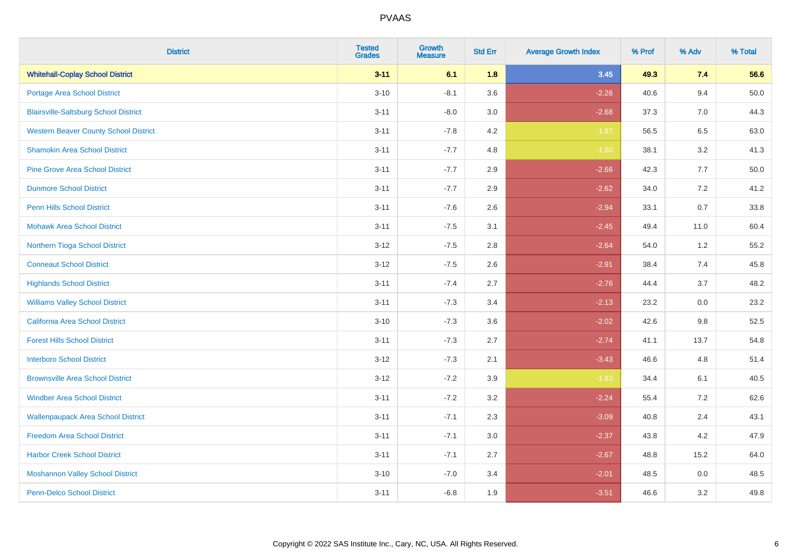| <b>District</b>                              | <b>Tested</b><br><b>Grades</b> | <b>Growth</b><br><b>Measure</b> | <b>Std Err</b> | <b>Average Growth Index</b> | % Prof | % Adv   | % Total  |
|----------------------------------------------|--------------------------------|---------------------------------|----------------|-----------------------------|--------|---------|----------|
| <b>Whitehall-Coplay School District</b>      | $3 - 11$                       | 6.1                             | 1.8            | 3.45                        | 49.3   | 7.4     | 56.6     |
| Portage Area School District                 | $3 - 10$                       | $-8.1$                          | 3.6            | $-2.26$                     | 40.6   | 9.4     | $50.0\,$ |
| <b>Blairsville-Saltsburg School District</b> | $3 - 11$                       | $-8.0$                          | 3.0            | $-2.68$                     | 37.3   | 7.0     | 44.3     |
| <b>Western Beaver County School District</b> | $3 - 11$                       | $-7.8$                          | 4.2            | $-1.87$                     | 56.5   | 6.5     | 63.0     |
| <b>Shamokin Area School District</b>         | $3 - 11$                       | $-7.7$                          | 4.8            | $-1.60$                     | 38.1   | 3.2     | 41.3     |
| <b>Pine Grove Area School District</b>       | $3 - 11$                       | $-7.7$                          | 2.9            | $-2.66$                     | 42.3   | 7.7     | 50.0     |
| <b>Dunmore School District</b>               | $3 - 11$                       | $-7.7$                          | 2.9            | $-2.62$                     | 34.0   | 7.2     | 41.2     |
| <b>Penn Hills School District</b>            | $3 - 11$                       | $-7.6$                          | 2.6            | $-2.94$                     | 33.1   | 0.7     | 33.8     |
| <b>Mohawk Area School District</b>           | $3 - 11$                       | $-7.5$                          | 3.1            | $-2.45$                     | 49.4   | 11.0    | 60.4     |
| Northern Tioga School District               | $3 - 12$                       | $-7.5$                          | 2.8            | $-2.64$                     | 54.0   | 1.2     | 55.2     |
| <b>Conneaut School District</b>              | $3 - 12$                       | $-7.5$                          | 2.6            | $-2.91$                     | 38.4   | 7.4     | 45.8     |
| <b>Highlands School District</b>             | $3 - 11$                       | $-7.4$                          | 2.7            | $-2.76$                     | 44.4   | 3.7     | 48.2     |
| <b>Williams Valley School District</b>       | $3 - 11$                       | $-7.3$                          | 3.4            | $-2.13$                     | 23.2   | 0.0     | 23.2     |
| <b>California Area School District</b>       | $3 - 10$                       | $-7.3$                          | 3.6            | $-2.02$                     | 42.6   | 9.8     | 52.5     |
| <b>Forest Hills School District</b>          | $3 - 11$                       | $-7.3$                          | 2.7            | $-2.74$                     | 41.1   | 13.7    | 54.8     |
| <b>Interboro School District</b>             | $3 - 12$                       | $-7.3$                          | 2.1            | $-3.43$                     | 46.6   | 4.8     | 51.4     |
| <b>Brownsville Area School District</b>      | $3 - 12$                       | $-7.2$                          | 3.9            | $-1.83$                     | 34.4   | 6.1     | 40.5     |
| <b>Windber Area School District</b>          | $3 - 11$                       | $-7.2$                          | 3.2            | $-2.24$                     | 55.4   | 7.2     | 62.6     |
| <b>Wallenpaupack Area School District</b>    | $3 - 11$                       | $-7.1$                          | 2.3            | $-3.09$                     | 40.8   | 2.4     | 43.1     |
| <b>Freedom Area School District</b>          | $3 - 11$                       | $-7.1$                          | 3.0            | $-2.37$                     | 43.8   | 4.2     | 47.9     |
| <b>Harbor Creek School District</b>          | $3 - 11$                       | $-7.1$                          | 2.7            | $-2.67$                     | 48.8   | 15.2    | 64.0     |
| <b>Moshannon Valley School District</b>      | $3 - 10$                       | $-7.0$                          | 3.4            | $-2.01$                     | 48.5   | $0.0\,$ | 48.5     |
| <b>Penn-Delco School District</b>            | $3 - 11$                       | $-6.8$                          | 1.9            | $-3.51$                     | 46.6   | 3.2     | 49.8     |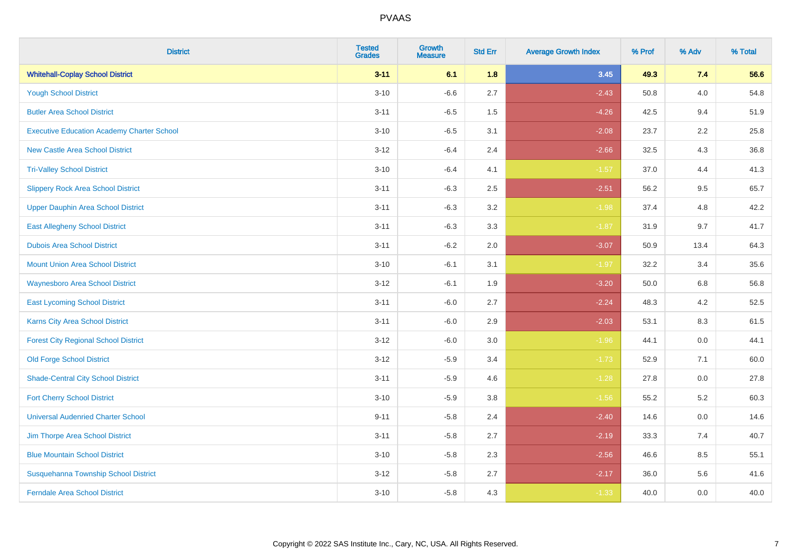| <b>District</b>                                   | <b>Tested</b><br><b>Grades</b> | <b>Growth</b><br><b>Measure</b> | <b>Std Err</b> | <b>Average Growth Index</b> | % Prof | % Adv   | % Total |
|---------------------------------------------------|--------------------------------|---------------------------------|----------------|-----------------------------|--------|---------|---------|
| <b>Whitehall-Coplay School District</b>           | $3 - 11$                       | 6.1                             | 1.8            | 3.45                        | 49.3   | 7.4     | 56.6    |
| <b>Yough School District</b>                      | $3 - 10$                       | $-6.6$                          | 2.7            | $-2.43$                     | 50.8   | $4.0\,$ | 54.8    |
| <b>Butler Area School District</b>                | $3 - 11$                       | $-6.5$                          | 1.5            | $-4.26$                     | 42.5   | 9.4     | 51.9    |
| <b>Executive Education Academy Charter School</b> | $3 - 10$                       | $-6.5$                          | 3.1            | $-2.08$                     | 23.7   | 2.2     | 25.8    |
| <b>New Castle Area School District</b>            | $3 - 12$                       | $-6.4$                          | 2.4            | $-2.66$                     | 32.5   | 4.3     | 36.8    |
| <b>Tri-Valley School District</b>                 | $3 - 10$                       | $-6.4$                          | 4.1            | $-1.57$                     | 37.0   | 4.4     | 41.3    |
| <b>Slippery Rock Area School District</b>         | $3 - 11$                       | $-6.3$                          | 2.5            | $-2.51$                     | 56.2   | 9.5     | 65.7    |
| <b>Upper Dauphin Area School District</b>         | $3 - 11$                       | $-6.3$                          | 3.2            | $-1.98$                     | 37.4   | 4.8     | 42.2    |
| <b>East Allegheny School District</b>             | $3 - 11$                       | $-6.3$                          | 3.3            | $-1.87$                     | 31.9   | 9.7     | 41.7    |
| <b>Dubois Area School District</b>                | $3 - 11$                       | $-6.2$                          | 2.0            | $-3.07$                     | 50.9   | 13.4    | 64.3    |
| <b>Mount Union Area School District</b>           | $3 - 10$                       | $-6.1$                          | 3.1            | $-1.97$                     | 32.2   | 3.4     | 35.6    |
| <b>Waynesboro Area School District</b>            | $3 - 12$                       | $-6.1$                          | 1.9            | $-3.20$                     | 50.0   | 6.8     | 56.8    |
| <b>East Lycoming School District</b>              | $3 - 11$                       | $-6.0$                          | 2.7            | $-2.24$                     | 48.3   | $4.2\,$ | 52.5    |
| <b>Karns City Area School District</b>            | $3 - 11$                       | $-6.0$                          | 2.9            | $-2.03$                     | 53.1   | 8.3     | 61.5    |
| <b>Forest City Regional School District</b>       | $3 - 12$                       | $-6.0$                          | 3.0            | $-1.96$                     | 44.1   | $0.0\,$ | 44.1    |
| <b>Old Forge School District</b>                  | $3 - 12$                       | $-5.9$                          | 3.4            | $-1.73$                     | 52.9   | 7.1     | 60.0    |
| <b>Shade-Central City School District</b>         | $3 - 11$                       | $-5.9$                          | 4.6            | $-1.28$                     | 27.8   | 0.0     | 27.8    |
| <b>Fort Cherry School District</b>                | $3 - 10$                       | $-5.9$                          | 3.8            | $-1.56$                     | 55.2   | 5.2     | 60.3    |
| <b>Universal Audenried Charter School</b>         | $9 - 11$                       | $-5.8$                          | 2.4            | $-2.40$                     | 14.6   | $0.0\,$ | 14.6    |
| Jim Thorpe Area School District                   | $3 - 11$                       | $-5.8$                          | 2.7            | $-2.19$                     | 33.3   | 7.4     | 40.7    |
| <b>Blue Mountain School District</b>              | $3 - 10$                       | $-5.8$                          | 2.3            | $-2.56$                     | 46.6   | 8.5     | 55.1    |
| Susquehanna Township School District              | $3 - 12$                       | $-5.8$                          | 2.7            | $-2.17$                     | 36.0   | 5.6     | 41.6    |
| <b>Ferndale Area School District</b>              | $3 - 10$                       | $-5.8$                          | 4.3            | $-1.33$                     | 40.0   | 0.0     | 40.0    |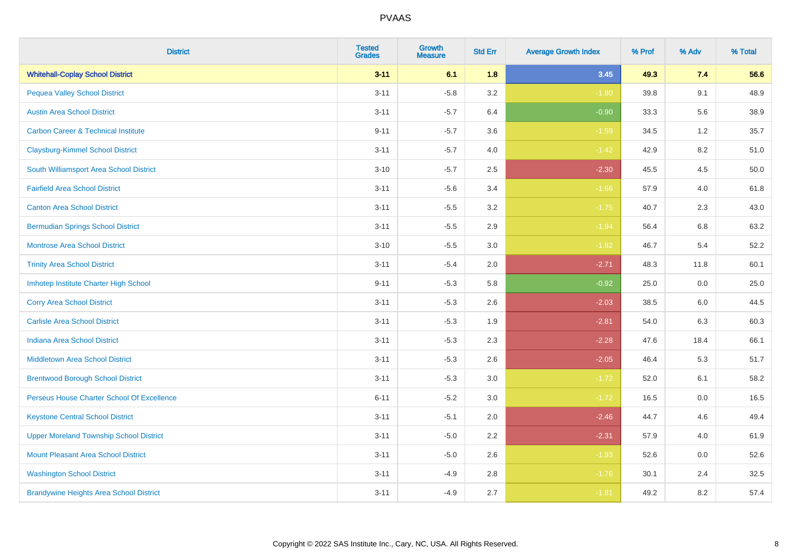| <b>District</b>                                | <b>Tested</b><br><b>Grades</b> | Growth<br><b>Measure</b> | <b>Std Err</b> | <b>Average Growth Index</b> | % Prof | % Adv   | % Total |
|------------------------------------------------|--------------------------------|--------------------------|----------------|-----------------------------|--------|---------|---------|
| <b>Whitehall-Coplay School District</b>        | $3 - 11$                       | 6.1                      | 1.8            | 3.45                        | 49.3   | 7.4     | 56.6    |
| <b>Pequea Valley School District</b>           | $3 - 11$                       | $-5.8$                   | 3.2            | $-1.80$                     | 39.8   | 9.1     | 48.9    |
| <b>Austin Area School District</b>             | $3 - 11$                       | $-5.7$                   | 6.4            | $-0.90$                     | 33.3   | 5.6     | 38.9    |
| <b>Carbon Career &amp; Technical Institute</b> | $9 - 11$                       | $-5.7$                   | 3.6            | $-1.59$                     | 34.5   | $1.2\,$ | 35.7    |
| <b>Claysburg-Kimmel School District</b>        | $3 - 11$                       | $-5.7$                   | 4.0            | $-1.42$                     | 42.9   | 8.2     | 51.0    |
| South Williamsport Area School District        | $3 - 10$                       | $-5.7$                   | 2.5            | $-2.30$                     | 45.5   | 4.5     | 50.0    |
| <b>Fairfield Area School District</b>          | $3 - 11$                       | $-5.6$                   | 3.4            | $-1.66$                     | 57.9   | 4.0     | 61.8    |
| <b>Canton Area School District</b>             | $3 - 11$                       | $-5.5$                   | 3.2            | $-1.75$                     | 40.7   | 2.3     | 43.0    |
| <b>Bermudian Springs School District</b>       | $3 - 11$                       | $-5.5$                   | 2.9            | $-1.94$                     | 56.4   | 6.8     | 63.2    |
| <b>Montrose Area School District</b>           | $3 - 10$                       | $-5.5$                   | 3.0            | $-1.82$                     | 46.7   | 5.4     | 52.2    |
| <b>Trinity Area School District</b>            | $3 - 11$                       | $-5.4$                   | 2.0            | $-2.71$                     | 48.3   | 11.8    | 60.1    |
| Imhotep Institute Charter High School          | $9 - 11$                       | $-5.3$                   | 5.8            | $-0.92$                     | 25.0   | 0.0     | 25.0    |
| <b>Corry Area School District</b>              | $3 - 11$                       | $-5.3$                   | 2.6            | $-2.03$                     | 38.5   | 6.0     | 44.5    |
| <b>Carlisle Area School District</b>           | $3 - 11$                       | $-5.3$                   | 1.9            | $-2.81$                     | 54.0   | 6.3     | 60.3    |
| <b>Indiana Area School District</b>            | $3 - 11$                       | $-5.3$                   | 2.3            | $-2.28$                     | 47.6   | 18.4    | 66.1    |
| <b>Middletown Area School District</b>         | $3 - 11$                       | $-5.3$                   | 2.6            | $-2.05$                     | 46.4   | 5.3     | 51.7    |
| <b>Brentwood Borough School District</b>       | $3 - 11$                       | $-5.3$                   | 3.0            | $-1.72$                     | 52.0   | 6.1     | 58.2    |
| Perseus House Charter School Of Excellence     | $6 - 11$                       | $-5.2$                   | 3.0            | $-1.72$                     | 16.5   | 0.0     | 16.5    |
| <b>Keystone Central School District</b>        | $3 - 11$                       | $-5.1$                   | 2.0            | $-2.46$                     | 44.7   | 4.6     | 49.4    |
| <b>Upper Moreland Township School District</b> | $3 - 11$                       | $-5.0$                   | 2.2            | $-2.31$                     | 57.9   | 4.0     | 61.9    |
| <b>Mount Pleasant Area School District</b>     | $3 - 11$                       | $-5.0$                   | 2.6            | $-1.93$                     | 52.6   | 0.0     | 52.6    |
| <b>Washington School District</b>              | $3 - 11$                       | $-4.9$                   | 2.8            | $-1.76$                     | 30.1   | 2.4     | 32.5    |
| <b>Brandywine Heights Area School District</b> | $3 - 11$                       | $-4.9$                   | 2.7            | $-1.81$                     | 49.2   | 8.2     | 57.4    |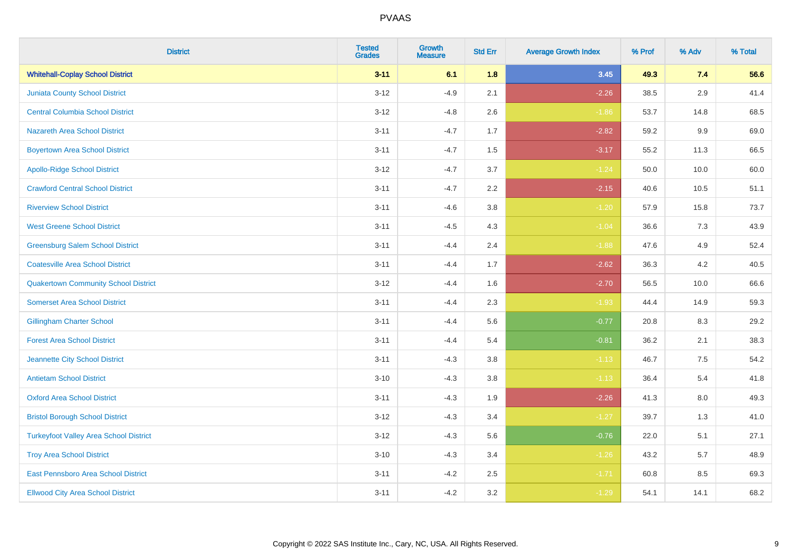| <b>District</b>                               | <b>Tested</b><br><b>Grades</b> | <b>Growth</b><br><b>Measure</b> | <b>Std Err</b> | <b>Average Growth Index</b> | % Prof | % Adv   | % Total |
|-----------------------------------------------|--------------------------------|---------------------------------|----------------|-----------------------------|--------|---------|---------|
| <b>Whitehall-Coplay School District</b>       | $3 - 11$                       | 6.1                             | 1.8            | 3.45                        | 49.3   | 7.4     | 56.6    |
| Juniata County School District                | $3 - 12$                       | $-4.9$                          | 2.1            | $-2.26$                     | 38.5   | $2.9\,$ | 41.4    |
| <b>Central Columbia School District</b>       | $3 - 12$                       | $-4.8$                          | 2.6            | $-1.86$                     | 53.7   | 14.8    | 68.5    |
| <b>Nazareth Area School District</b>          | $3 - 11$                       | $-4.7$                          | 1.7            | $-2.82$                     | 59.2   | 9.9     | 69.0    |
| <b>Boyertown Area School District</b>         | $3 - 11$                       | $-4.7$                          | 1.5            | $-3.17$                     | 55.2   | 11.3    | 66.5    |
| <b>Apollo-Ridge School District</b>           | $3 - 12$                       | $-4.7$                          | 3.7            | $-1.24$                     | 50.0   | 10.0    | 60.0    |
| <b>Crawford Central School District</b>       | $3 - 11$                       | $-4.7$                          | 2.2            | $-2.15$                     | 40.6   | 10.5    | 51.1    |
| <b>Riverview School District</b>              | $3 - 11$                       | $-4.6$                          | 3.8            | $-1.20$                     | 57.9   | 15.8    | 73.7    |
| <b>West Greene School District</b>            | $3 - 11$                       | $-4.5$                          | 4.3            | $-1.04$                     | 36.6   | 7.3     | 43.9    |
| <b>Greensburg Salem School District</b>       | $3 - 11$                       | $-4.4$                          | 2.4            | $-1.88$                     | 47.6   | 4.9     | 52.4    |
| <b>Coatesville Area School District</b>       | $3 - 11$                       | $-4.4$                          | 1.7            | $-2.62$                     | 36.3   | 4.2     | 40.5    |
| <b>Quakertown Community School District</b>   | $3 - 12$                       | $-4.4$                          | 1.6            | $-2.70$                     | 56.5   | 10.0    | 66.6    |
| <b>Somerset Area School District</b>          | $3 - 11$                       | $-4.4$                          | 2.3            | $-1.93$                     | 44.4   | 14.9    | 59.3    |
| <b>Gillingham Charter School</b>              | $3 - 11$                       | $-4.4$                          | 5.6            | $-0.77$                     | 20.8   | 8.3     | 29.2    |
| <b>Forest Area School District</b>            | $3 - 11$                       | $-4.4$                          | 5.4            | $-0.81$                     | 36.2   | 2.1     | 38.3    |
| Jeannette City School District                | $3 - 11$                       | $-4.3$                          | $3.8\,$        | $-1.13$                     | 46.7   | $7.5\,$ | 54.2    |
| <b>Antietam School District</b>               | $3 - 10$                       | $-4.3$                          | 3.8            | $-1.13$                     | 36.4   | 5.4     | 41.8    |
| <b>Oxford Area School District</b>            | $3 - 11$                       | $-4.3$                          | 1.9            | $-2.26$                     | 41.3   | 8.0     | 49.3    |
| <b>Bristol Borough School District</b>        | $3 - 12$                       | $-4.3$                          | 3.4            | $-1.27$                     | 39.7   | 1.3     | 41.0    |
| <b>Turkeyfoot Valley Area School District</b> | $3 - 12$                       | $-4.3$                          | 5.6            | $-0.76$                     | 22.0   | 5.1     | 27.1    |
| <b>Troy Area School District</b>              | $3 - 10$                       | $-4.3$                          | 3.4            | $-1.26$                     | 43.2   | 5.7     | 48.9    |
| East Pennsboro Area School District           | $3 - 11$                       | $-4.2$                          | 2.5            | $-1.71$                     | 60.8   | 8.5     | 69.3    |
| <b>Ellwood City Area School District</b>      | $3 - 11$                       | $-4.2$                          | 3.2            | $-1.29$                     | 54.1   | 14.1    | 68.2    |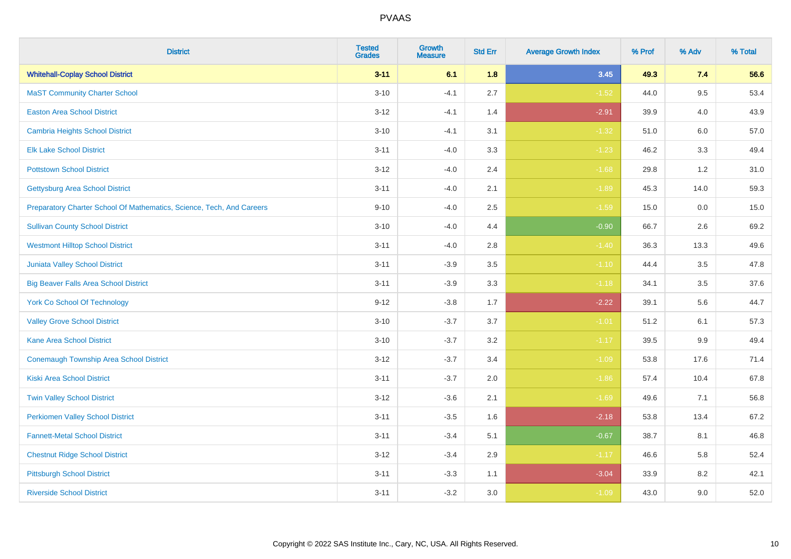| <b>District</b>                                                       | <b>Tested</b><br><b>Grades</b> | <b>Growth</b><br><b>Measure</b> | <b>Std Err</b> | <b>Average Growth Index</b> | % Prof | % Adv   | % Total |
|-----------------------------------------------------------------------|--------------------------------|---------------------------------|----------------|-----------------------------|--------|---------|---------|
| <b>Whitehall-Coplay School District</b>                               | $3 - 11$                       | 6.1                             | 1.8            | 3.45                        | 49.3   | 7.4     | 56.6    |
| <b>MaST Community Charter School</b>                                  | $3 - 10$                       | $-4.1$                          | 2.7            | $-1.52$                     | 44.0   | 9.5     | 53.4    |
| <b>Easton Area School District</b>                                    | $3 - 12$                       | $-4.1$                          | 1.4            | $-2.91$                     | 39.9   | 4.0     | 43.9    |
| Cambria Heights School District                                       | $3 - 10$                       | $-4.1$                          | 3.1            | $-1.32$                     | 51.0   | $6.0\,$ | 57.0    |
| <b>Elk Lake School District</b>                                       | $3 - 11$                       | $-4.0$                          | 3.3            | $-1.23$                     | 46.2   | 3.3     | 49.4    |
| <b>Pottstown School District</b>                                      | $3 - 12$                       | $-4.0$                          | 2.4            | $-1.68$                     | 29.8   | 1.2     | 31.0    |
| <b>Gettysburg Area School District</b>                                | $3 - 11$                       | $-4.0$                          | 2.1            | $-1.89$                     | 45.3   | 14.0    | 59.3    |
| Preparatory Charter School Of Mathematics, Science, Tech, And Careers | $9 - 10$                       | $-4.0$                          | 2.5            | $-1.59$                     | 15.0   | 0.0     | 15.0    |
| <b>Sullivan County School District</b>                                | $3 - 10$                       | $-4.0$                          | 4.4            | $-0.90$                     | 66.7   | 2.6     | 69.2    |
| <b>Westmont Hilltop School District</b>                               | $3 - 11$                       | $-4.0$                          | 2.8            | $-1.40$                     | 36.3   | 13.3    | 49.6    |
| <b>Juniata Valley School District</b>                                 | $3 - 11$                       | $-3.9$                          | 3.5            | $-1.10$                     | 44.4   | 3.5     | 47.8    |
| <b>Big Beaver Falls Area School District</b>                          | $3 - 11$                       | $-3.9$                          | 3.3            | $-1.18$                     | 34.1   | 3.5     | 37.6    |
| <b>York Co School Of Technology</b>                                   | $9 - 12$                       | $-3.8$                          | 1.7            | $-2.22$                     | 39.1   | 5.6     | 44.7    |
| <b>Valley Grove School District</b>                                   | $3 - 10$                       | $-3.7$                          | 3.7            | $-1.01$                     | 51.2   | 6.1     | 57.3    |
| <b>Kane Area School District</b>                                      | $3 - 10$                       | $-3.7$                          | 3.2            | $-1.17$                     | 39.5   | 9.9     | 49.4    |
| <b>Conemaugh Township Area School District</b>                        | $3 - 12$                       | $-3.7$                          | 3.4            | $-1.09$                     | 53.8   | 17.6    | 71.4    |
| <b>Kiski Area School District</b>                                     | $3 - 11$                       | $-3.7$                          | 2.0            | $-1.86$                     | 57.4   | 10.4    | 67.8    |
| <b>Twin Valley School District</b>                                    | $3 - 12$                       | $-3.6$                          | 2.1            | $-1.69$                     | 49.6   | 7.1     | 56.8    |
| <b>Perkiomen Valley School District</b>                               | $3 - 11$                       | $-3.5$                          | 1.6            | $-2.18$                     | 53.8   | 13.4    | 67.2    |
| <b>Fannett-Metal School District</b>                                  | $3 - 11$                       | $-3.4$                          | 5.1            | $-0.67$                     | 38.7   | 8.1     | 46.8    |
| <b>Chestnut Ridge School District</b>                                 | $3 - 12$                       | $-3.4$                          | 2.9            | $-1.17$                     | 46.6   | 5.8     | 52.4    |
| <b>Pittsburgh School District</b>                                     | $3 - 11$                       | $-3.3$                          | 1.1            | $-3.04$                     | 33.9   | 8.2     | 42.1    |
| <b>Riverside School District</b>                                      | $3 - 11$                       | $-3.2$                          | 3.0            | $-1.09$                     | 43.0   | 9.0     | 52.0    |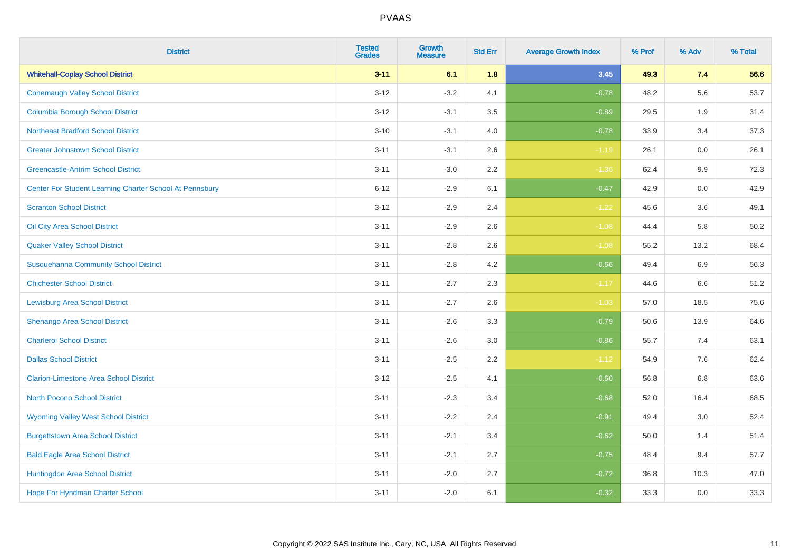| <b>District</b>                                         | <b>Tested</b><br><b>Grades</b> | <b>Growth</b><br><b>Measure</b> | <b>Std Err</b> | <b>Average Growth Index</b> | % Prof | % Adv   | % Total |
|---------------------------------------------------------|--------------------------------|---------------------------------|----------------|-----------------------------|--------|---------|---------|
| <b>Whitehall-Coplay School District</b>                 | $3 - 11$                       | 6.1                             | 1.8            | 3.45                        | 49.3   | 7.4     | 56.6    |
| <b>Conemaugh Valley School District</b>                 | $3 - 12$                       | $-3.2$                          | 4.1            | $-0.78$                     | 48.2   | 5.6     | 53.7    |
| <b>Columbia Borough School District</b>                 | $3 - 12$                       | $-3.1$                          | 3.5            | $-0.89$                     | 29.5   | 1.9     | 31.4    |
| <b>Northeast Bradford School District</b>               | $3 - 10$                       | $-3.1$                          | 4.0            | $-0.78$                     | 33.9   | 3.4     | 37.3    |
| <b>Greater Johnstown School District</b>                | $3 - 11$                       | $-3.1$                          | 2.6            | $-1.19$                     | 26.1   | 0.0     | 26.1    |
| <b>Greencastle-Antrim School District</b>               | $3 - 11$                       | $-3.0$                          | 2.2            | $-1.36$                     | 62.4   | 9.9     | 72.3    |
| Center For Student Learning Charter School At Pennsbury | $6 - 12$                       | $-2.9$                          | 6.1            | $-0.47$                     | 42.9   | 0.0     | 42.9    |
| <b>Scranton School District</b>                         | $3 - 12$                       | $-2.9$                          | 2.4            | $-1.22$                     | 45.6   | 3.6     | 49.1    |
| Oil City Area School District                           | $3 - 11$                       | $-2.9$                          | 2.6            | $-1.08$                     | 44.4   | 5.8     | 50.2    |
| <b>Quaker Valley School District</b>                    | $3 - 11$                       | $-2.8$                          | 2.6            | $-1.08$                     | 55.2   | 13.2    | 68.4    |
| <b>Susquehanna Community School District</b>            | $3 - 11$                       | $-2.8$                          | 4.2            | $-0.66$                     | 49.4   | 6.9     | 56.3    |
| <b>Chichester School District</b>                       | $3 - 11$                       | $-2.7$                          | 2.3            | $-1.17$                     | 44.6   | 6.6     | 51.2    |
| <b>Lewisburg Area School District</b>                   | $3 - 11$                       | $-2.7$                          | 2.6            | $-1.03$                     | 57.0   | 18.5    | 75.6    |
| Shenango Area School District                           | $3 - 11$                       | $-2.6$                          | 3.3            | $-0.79$                     | 50.6   | 13.9    | 64.6    |
| <b>Charleroi School District</b>                        | $3 - 11$                       | $-2.6$                          | 3.0            | $-0.86$                     | 55.7   | 7.4     | 63.1    |
| <b>Dallas School District</b>                           | $3 - 11$                       | $-2.5$                          | 2.2            | $-1.12$                     | 54.9   | $7.6\,$ | 62.4    |
| <b>Clarion-Limestone Area School District</b>           | $3 - 12$                       | $-2.5$                          | 4.1            | $-0.60$                     | 56.8   | 6.8     | 63.6    |
| North Pocono School District                            | $3 - 11$                       | $-2.3$                          | 3.4            | $-0.68$                     | 52.0   | 16.4    | 68.5    |
| <b>Wyoming Valley West School District</b>              | $3 - 11$                       | $-2.2$                          | 2.4            | $-0.91$                     | 49.4   | 3.0     | 52.4    |
| <b>Burgettstown Area School District</b>                | $3 - 11$                       | $-2.1$                          | 3.4            | $-0.62$                     | 50.0   | 1.4     | 51.4    |
| <b>Bald Eagle Area School District</b>                  | $3 - 11$                       | $-2.1$                          | 2.7            | $-0.75$                     | 48.4   | 9.4     | 57.7    |
| Huntingdon Area School District                         | $3 - 11$                       | $-2.0$                          | 2.7            | $-0.72$                     | 36.8   | 10.3    | 47.0    |
| <b>Hope For Hyndman Charter School</b>                  | $3 - 11$                       | $-2.0$                          | 6.1            | $-0.32$                     | 33.3   | 0.0     | 33.3    |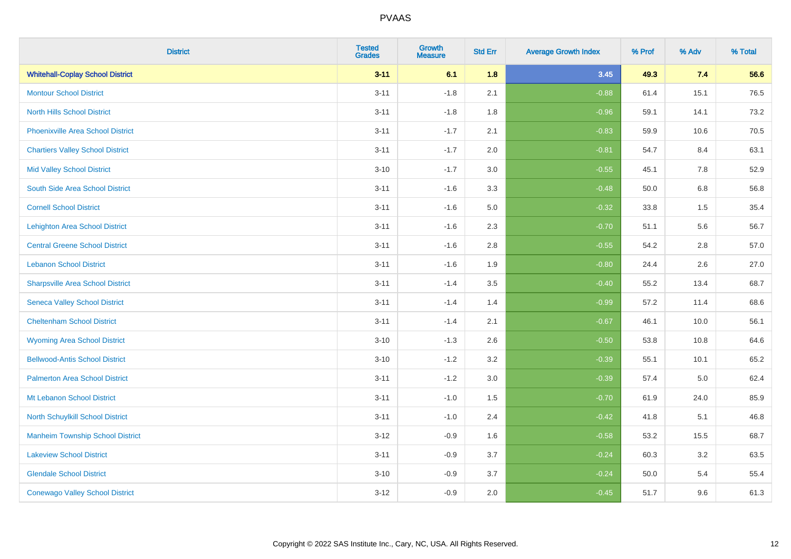| <b>District</b>                          | <b>Tested</b><br><b>Grades</b> | <b>Growth</b><br><b>Measure</b> | <b>Std Err</b> | <b>Average Growth Index</b> | % Prof | % Adv   | % Total |
|------------------------------------------|--------------------------------|---------------------------------|----------------|-----------------------------|--------|---------|---------|
| <b>Whitehall-Coplay School District</b>  | $3 - 11$                       | 6.1                             | 1.8            | 3.45                        | 49.3   | 7.4     | 56.6    |
| <b>Montour School District</b>           | $3 - 11$                       | $-1.8$                          | 2.1            | $-0.88$                     | 61.4   | 15.1    | 76.5    |
| <b>North Hills School District</b>       | $3 - 11$                       | $-1.8$                          | 1.8            | $-0.96$                     | 59.1   | 14.1    | 73.2    |
| <b>Phoenixville Area School District</b> | $3 - 11$                       | $-1.7$                          | 2.1            | $-0.83$                     | 59.9   | 10.6    | 70.5    |
| <b>Chartiers Valley School District</b>  | $3 - 11$                       | $-1.7$                          | 2.0            | $-0.81$                     | 54.7   | 8.4     | 63.1    |
| <b>Mid Valley School District</b>        | $3 - 10$                       | $-1.7$                          | 3.0            | $-0.55$                     | 45.1   | 7.8     | 52.9    |
| South Side Area School District          | $3 - 11$                       | $-1.6$                          | 3.3            | $-0.48$                     | 50.0   | $6.8\,$ | 56.8    |
| <b>Cornell School District</b>           | $3 - 11$                       | $-1.6$                          | 5.0            | $-0.32$                     | 33.8   | 1.5     | 35.4    |
| <b>Lehighton Area School District</b>    | $3 - 11$                       | $-1.6$                          | 2.3            | $-0.70$                     | 51.1   | 5.6     | 56.7    |
| <b>Central Greene School District</b>    | $3 - 11$                       | $-1.6$                          | 2.8            | $-0.55$                     | 54.2   | 2.8     | 57.0    |
| <b>Lebanon School District</b>           | $3 - 11$                       | $-1.6$                          | 1.9            | $-0.80$                     | 24.4   | 2.6     | 27.0    |
| <b>Sharpsville Area School District</b>  | $3 - 11$                       | $-1.4$                          | 3.5            | $-0.40$                     | 55.2   | 13.4    | 68.7    |
| <b>Seneca Valley School District</b>     | $3 - 11$                       | $-1.4$                          | 1.4            | $-0.99$                     | 57.2   | 11.4    | 68.6    |
| <b>Cheltenham School District</b>        | $3 - 11$                       | $-1.4$                          | 2.1            | $-0.67$                     | 46.1   | 10.0    | 56.1    |
| <b>Wyoming Area School District</b>      | $3 - 10$                       | $-1.3$                          | 2.6            | $-0.50$                     | 53.8   | 10.8    | 64.6    |
| <b>Bellwood-Antis School District</b>    | $3 - 10$                       | $-1.2$                          | 3.2            | $-0.39$                     | 55.1   | 10.1    | 65.2    |
| <b>Palmerton Area School District</b>    | $3 - 11$                       | $-1.2$                          | 3.0            | $-0.39$                     | 57.4   | 5.0     | 62.4    |
| Mt Lebanon School District               | $3 - 11$                       | $-1.0$                          | 1.5            | $-0.70$                     | 61.9   | 24.0    | 85.9    |
| <b>North Schuylkill School District</b>  | $3 - 11$                       | $-1.0$                          | 2.4            | $-0.42$                     | 41.8   | 5.1     | 46.8    |
| <b>Manheim Township School District</b>  | $3 - 12$                       | $-0.9$                          | 1.6            | $-0.58$                     | 53.2   | 15.5    | 68.7    |
| <b>Lakeview School District</b>          | $3 - 11$                       | $-0.9$                          | 3.7            | $-0.24$                     | 60.3   | 3.2     | 63.5    |
| <b>Glendale School District</b>          | $3 - 10$                       | $-0.9$                          | 3.7            | $-0.24$                     | 50.0   | 5.4     | 55.4    |
| <b>Conewago Valley School District</b>   | $3-12$                         | $-0.9$                          | 2.0            | $-0.45$                     | 51.7   | 9.6     | 61.3    |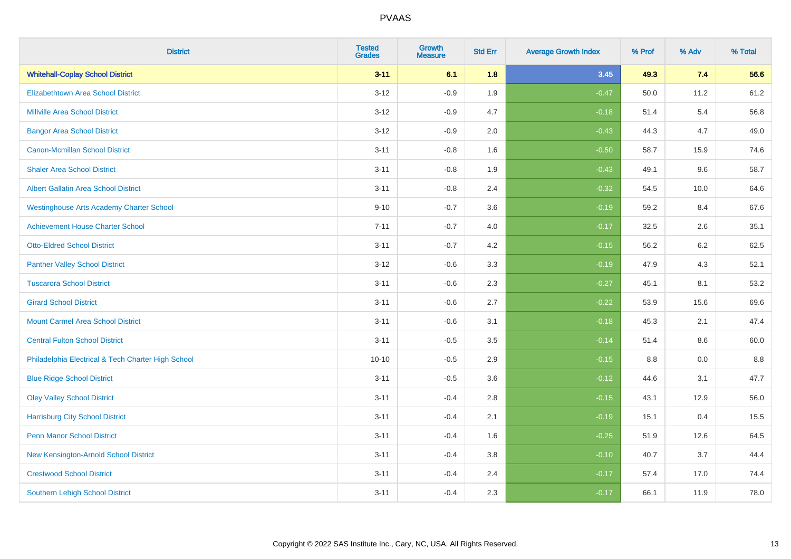| <b>District</b>                                    | <b>Tested</b><br><b>Grades</b> | Growth<br><b>Measure</b> | <b>Std Err</b> | <b>Average Growth Index</b> | % Prof | % Adv | % Total |
|----------------------------------------------------|--------------------------------|--------------------------|----------------|-----------------------------|--------|-------|---------|
| <b>Whitehall-Coplay School District</b>            | $3 - 11$                       | 6.1                      | 1.8            | 3.45                        | 49.3   | 7.4   | 56.6    |
| Elizabethtown Area School District                 | $3 - 12$                       | $-0.9$                   | 1.9            | $-0.47$                     | 50.0   | 11.2  | 61.2    |
| <b>Millville Area School District</b>              | $3 - 12$                       | $-0.9$                   | 4.7            | $-0.18$                     | 51.4   | 5.4   | 56.8    |
| <b>Bangor Area School District</b>                 | $3 - 12$                       | $-0.9$                   | 2.0            | $-0.43$                     | 44.3   | 4.7   | 49.0    |
| Canon-Mcmillan School District                     | $3 - 11$                       | $-0.8$                   | 1.6            | $-0.50$                     | 58.7   | 15.9  | 74.6    |
| <b>Shaler Area School District</b>                 | $3 - 11$                       | $-0.8$                   | 1.9            | $-0.43$                     | 49.1   | 9.6   | 58.7    |
| <b>Albert Gallatin Area School District</b>        | $3 - 11$                       | $-0.8$                   | 2.4            | $-0.32$                     | 54.5   | 10.0  | 64.6    |
| <b>Westinghouse Arts Academy Charter School</b>    | $9 - 10$                       | $-0.7$                   | 3.6            | $-0.19$                     | 59.2   | 8.4   | 67.6    |
| <b>Achievement House Charter School</b>            | $7 - 11$                       | $-0.7$                   | 4.0            | $-0.17$                     | 32.5   | 2.6   | 35.1    |
| <b>Otto-Eldred School District</b>                 | $3 - 11$                       | $-0.7$                   | 4.2            | $-0.15$                     | 56.2   | 6.2   | 62.5    |
| <b>Panther Valley School District</b>              | $3 - 12$                       | $-0.6$                   | 3.3            | $-0.19$                     | 47.9   | 4.3   | 52.1    |
| <b>Tuscarora School District</b>                   | $3 - 11$                       | $-0.6$                   | 2.3            | $-0.27$                     | 45.1   | 8.1   | 53.2    |
| <b>Girard School District</b>                      | $3 - 11$                       | $-0.6$                   | 2.7            | $-0.22$                     | 53.9   | 15.6  | 69.6    |
| <b>Mount Carmel Area School District</b>           | $3 - 11$                       | $-0.6$                   | 3.1            | $-0.18$                     | 45.3   | 2.1   | 47.4    |
| <b>Central Fulton School District</b>              | $3 - 11$                       | $-0.5$                   | 3.5            | $-0.14$                     | 51.4   | 8.6   | 60.0    |
| Philadelphia Electrical & Tech Charter High School | $10 - 10$                      | $-0.5$                   | 2.9            | $-0.15$                     | 8.8    | 0.0   | 8.8     |
| <b>Blue Ridge School District</b>                  | $3 - 11$                       | $-0.5$                   | 3.6            | $-0.12$                     | 44.6   | 3.1   | 47.7    |
| <b>Oley Valley School District</b>                 | $3 - 11$                       | $-0.4$                   | 2.8            | $-0.15$                     | 43.1   | 12.9  | 56.0    |
| <b>Harrisburg City School District</b>             | $3 - 11$                       | $-0.4$                   | 2.1            | $-0.19$                     | 15.1   | 0.4   | 15.5    |
| <b>Penn Manor School District</b>                  | $3 - 11$                       | $-0.4$                   | 1.6            | $-0.25$                     | 51.9   | 12.6  | 64.5    |
| New Kensington-Arnold School District              | $3 - 11$                       | $-0.4$                   | 3.8            | $-0.10$                     | 40.7   | 3.7   | 44.4    |
| <b>Crestwood School District</b>                   | $3 - 11$                       | $-0.4$                   | 2.4            | $-0.17$                     | 57.4   | 17.0  | 74.4    |
| <b>Southern Lehigh School District</b>             | $3 - 11$                       | $-0.4$                   | 2.3            | $-0.17$                     | 66.1   | 11.9  | 78.0    |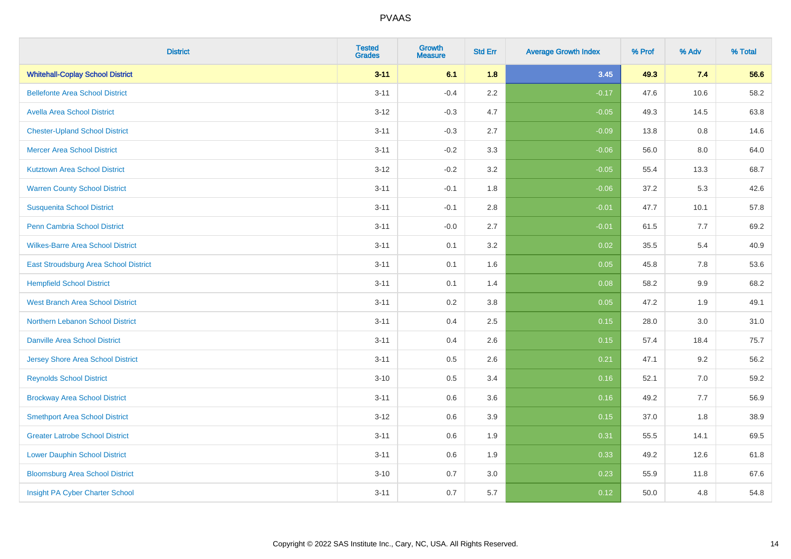| <b>District</b>                          | <b>Tested</b><br><b>Grades</b> | <b>Growth</b><br><b>Measure</b> | <b>Std Err</b> | <b>Average Growth Index</b> | % Prof | % Adv | % Total |
|------------------------------------------|--------------------------------|---------------------------------|----------------|-----------------------------|--------|-------|---------|
| <b>Whitehall-Coplay School District</b>  | $3 - 11$                       | 6.1                             | 1.8            | 3.45                        | 49.3   | 7.4   | 56.6    |
| <b>Bellefonte Area School District</b>   | $3 - 11$                       | $-0.4$                          | $2.2\,$        | $-0.17$                     | 47.6   | 10.6  | 58.2    |
| <b>Avella Area School District</b>       | $3 - 12$                       | $-0.3$                          | 4.7            | $-0.05$                     | 49.3   | 14.5  | 63.8    |
| <b>Chester-Upland School District</b>    | $3 - 11$                       | $-0.3$                          | 2.7            | $-0.09$                     | 13.8   | 0.8   | 14.6    |
| <b>Mercer Area School District</b>       | $3 - 11$                       | $-0.2$                          | 3.3            | $-0.06$                     | 56.0   | 8.0   | 64.0    |
| <b>Kutztown Area School District</b>     | $3 - 12$                       | $-0.2$                          | 3.2            | $-0.05$                     | 55.4   | 13.3  | 68.7    |
| <b>Warren County School District</b>     | $3 - 11$                       | $-0.1$                          | 1.8            | $-0.06$                     | 37.2   | 5.3   | 42.6    |
| <b>Susquenita School District</b>        | $3 - 11$                       | $-0.1$                          | 2.8            | $-0.01$                     | 47.7   | 10.1  | 57.8    |
| Penn Cambria School District             | $3 - 11$                       | $-0.0$                          | 2.7            | $-0.01$                     | 61.5   | 7.7   | 69.2    |
| <b>Wilkes-Barre Area School District</b> | $3 - 11$                       | 0.1                             | 3.2            | 0.02                        | 35.5   | 5.4   | 40.9    |
| East Stroudsburg Area School District    | $3 - 11$                       | 0.1                             | 1.6            | 0.05                        | 45.8   | 7.8   | 53.6    |
| <b>Hempfield School District</b>         | $3 - 11$                       | 0.1                             | 1.4            | 0.08                        | 58.2   | 9.9   | 68.2    |
| <b>West Branch Area School District</b>  | $3 - 11$                       | 0.2                             | $3.8\,$        | 0.05                        | 47.2   | 1.9   | 49.1    |
| Northern Lebanon School District         | $3 - 11$                       | 0.4                             | 2.5            | 0.15                        | 28.0   | 3.0   | 31.0    |
| <b>Danville Area School District</b>     | $3 - 11$                       | 0.4                             | 2.6            | 0.15                        | 57.4   | 18.4  | 75.7    |
| <b>Jersey Shore Area School District</b> | $3 - 11$                       | 0.5                             | 2.6            | 0.21                        | 47.1   | 9.2   | 56.2    |
| <b>Reynolds School District</b>          | $3 - 10$                       | 0.5                             | 3.4            | 0.16                        | 52.1   | 7.0   | 59.2    |
| <b>Brockway Area School District</b>     | $3 - 11$                       | 0.6                             | 3.6            | 0.16                        | 49.2   | 7.7   | 56.9    |
| <b>Smethport Area School District</b>    | $3 - 12$                       | 0.6                             | 3.9            | 0.15                        | 37.0   | 1.8   | 38.9    |
| <b>Greater Latrobe School District</b>   | $3 - 11$                       | 0.6                             | 1.9            | 0.31                        | 55.5   | 14.1  | 69.5    |
| <b>Lower Dauphin School District</b>     | $3 - 11$                       | 0.6                             | 1.9            | 0.33                        | 49.2   | 12.6  | 61.8    |
| <b>Bloomsburg Area School District</b>   | $3 - 10$                       | 0.7                             | 3.0            | 0.23                        | 55.9   | 11.8  | 67.6    |
| Insight PA Cyber Charter School          | $3 - 11$                       | 0.7                             | 5.7            | 0.12                        | 50.0   | 4.8   | 54.8    |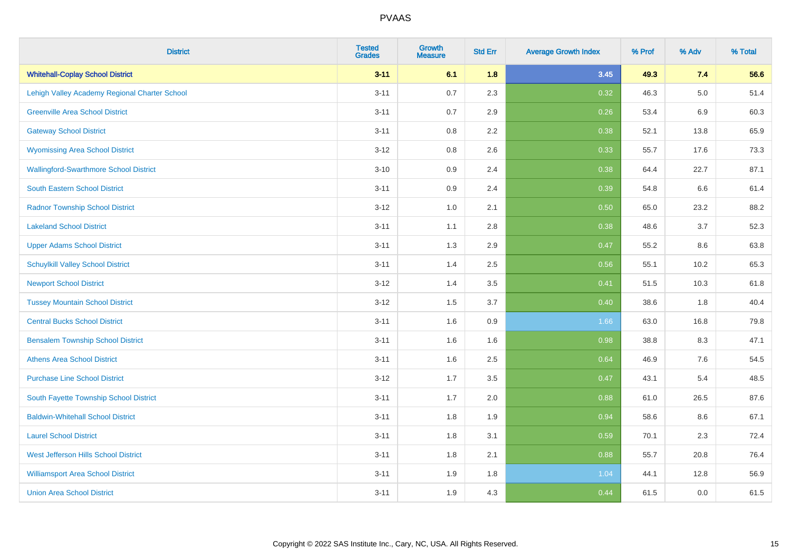| <b>District</b>                               | <b>Tested</b><br><b>Grades</b> | <b>Growth</b><br><b>Measure</b> | <b>Std Err</b> | <b>Average Growth Index</b> | % Prof | % Adv   | % Total |
|-----------------------------------------------|--------------------------------|---------------------------------|----------------|-----------------------------|--------|---------|---------|
| <b>Whitehall-Coplay School District</b>       | $3 - 11$                       | 6.1                             | 1.8            | 3.45                        | 49.3   | 7.4     | 56.6    |
| Lehigh Valley Academy Regional Charter School | $3 - 11$                       | 0.7                             | 2.3            | 0.32                        | 46.3   | $5.0\,$ | 51.4    |
| <b>Greenville Area School District</b>        | $3 - 11$                       | 0.7                             | 2.9            | 0.26                        | 53.4   | 6.9     | 60.3    |
| <b>Gateway School District</b>                | $3 - 11$                       | $0.8\,$                         | 2.2            | 0.38                        | 52.1   | 13.8    | 65.9    |
| <b>Wyomissing Area School District</b>        | $3-12$                         | 0.8                             | 2.6            | 0.33                        | 55.7   | 17.6    | 73.3    |
| <b>Wallingford-Swarthmore School District</b> | $3 - 10$                       | 0.9                             | 2.4            | 0.38                        | 64.4   | 22.7    | 87.1    |
| <b>South Eastern School District</b>          | $3 - 11$                       | 0.9                             | 2.4            | 0.39                        | 54.8   | 6.6     | 61.4    |
| <b>Radnor Township School District</b>        | $3 - 12$                       | 1.0                             | 2.1            | 0.50                        | 65.0   | 23.2    | 88.2    |
| <b>Lakeland School District</b>               | $3 - 11$                       | 1.1                             | 2.8            | 0.38                        | 48.6   | 3.7     | 52.3    |
| <b>Upper Adams School District</b>            | $3 - 11$                       | 1.3                             | 2.9            | 0.47                        | 55.2   | 8.6     | 63.8    |
| <b>Schuylkill Valley School District</b>      | $3 - 11$                       | 1.4                             | 2.5            | 0.56                        | 55.1   | 10.2    | 65.3    |
| <b>Newport School District</b>                | $3 - 12$                       | 1.4                             | 3.5            | 0.41                        | 51.5   | 10.3    | 61.8    |
| <b>Tussey Mountain School District</b>        | $3-12$                         | 1.5                             | 3.7            | 0.40                        | 38.6   | 1.8     | 40.4    |
| <b>Central Bucks School District</b>          | $3 - 11$                       | 1.6                             | 0.9            | 1.66                        | 63.0   | 16.8    | 79.8    |
| <b>Bensalem Township School District</b>      | $3 - 11$                       | 1.6                             | 1.6            | 0.98                        | 38.8   | 8.3     | 47.1    |
| <b>Athens Area School District</b>            | $3 - 11$                       | 1.6                             | 2.5            | 0.64                        | 46.9   | 7.6     | 54.5    |
| <b>Purchase Line School District</b>          | $3-12$                         | 1.7                             | 3.5            | 0.47                        | 43.1   | 5.4     | 48.5    |
| South Fayette Township School District        | $3 - 11$                       | 1.7                             | 2.0            | 0.88                        | 61.0   | 26.5    | 87.6    |
| <b>Baldwin-Whitehall School District</b>      | $3 - 11$                       | 1.8                             | 1.9            | 0.94                        | 58.6   | 8.6     | 67.1    |
| <b>Laurel School District</b>                 | $3 - 11$                       | 1.8                             | 3.1            | 0.59                        | 70.1   | 2.3     | 72.4    |
| <b>West Jefferson Hills School District</b>   | $3 - 11$                       | 1.8                             | 2.1            | 0.88                        | 55.7   | 20.8    | 76.4    |
| <b>Williamsport Area School District</b>      | $3 - 11$                       | 1.9                             | 1.8            | 1.04                        | 44.1   | 12.8    | 56.9    |
| <b>Union Area School District</b>             | $3 - 11$                       | 1.9                             | 4.3            | 0.44                        | 61.5   | 0.0     | 61.5    |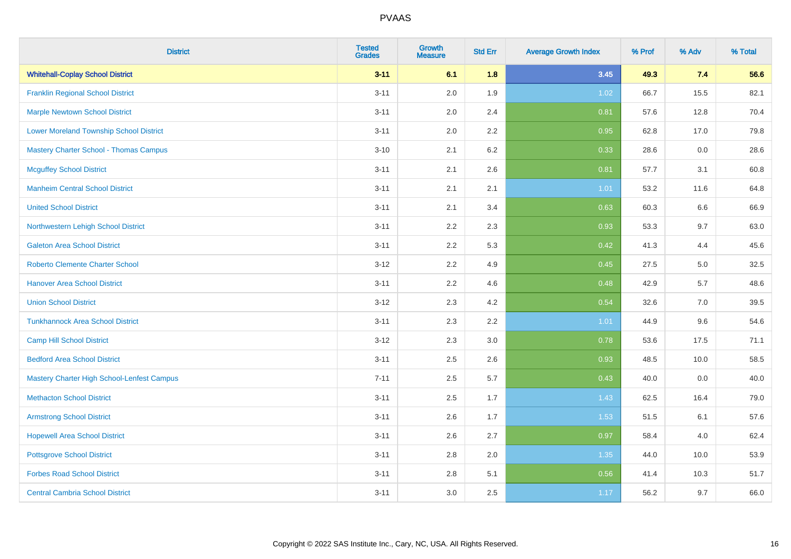| <b>District</b>                                | <b>Tested</b><br><b>Grades</b> | <b>Growth</b><br><b>Measure</b> | <b>Std Err</b> | <b>Average Growth Index</b> | % Prof | % Adv | % Total |
|------------------------------------------------|--------------------------------|---------------------------------|----------------|-----------------------------|--------|-------|---------|
| <b>Whitehall-Coplay School District</b>        | $3 - 11$                       | 6.1                             | 1.8            | 3.45                        | 49.3   | 7.4   | 56.6    |
| <b>Franklin Regional School District</b>       | $3 - 11$                       | 2.0                             | 1.9            | 1.02                        | 66.7   | 15.5  | 82.1    |
| <b>Marple Newtown School District</b>          | $3 - 11$                       | 2.0                             | 2.4            | 0.81                        | 57.6   | 12.8  | 70.4    |
| <b>Lower Moreland Township School District</b> | $3 - 11$                       | 2.0                             | 2.2            | 0.95                        | 62.8   | 17.0  | 79.8    |
| Mastery Charter School - Thomas Campus         | $3 - 10$                       | 2.1                             | 6.2            | 0.33                        | 28.6   | 0.0   | 28.6    |
| <b>Mcguffey School District</b>                | $3 - 11$                       | 2.1                             | 2.6            | 0.81                        | 57.7   | 3.1   | 60.8    |
| <b>Manheim Central School District</b>         | $3 - 11$                       | 2.1                             | 2.1            | 1.01                        | 53.2   | 11.6  | 64.8    |
| <b>United School District</b>                  | $3 - 11$                       | 2.1                             | 3.4            | 0.63                        | 60.3   | 6.6   | 66.9    |
| Northwestern Lehigh School District            | $3 - 11$                       | 2.2                             | 2.3            | 0.93                        | 53.3   | 9.7   | 63.0    |
| <b>Galeton Area School District</b>            | $3 - 11$                       | 2.2                             | 5.3            | 0.42                        | 41.3   | 4.4   | 45.6    |
| <b>Roberto Clemente Charter School</b>         | $3 - 12$                       | 2.2                             | 4.9            | 0.45                        | 27.5   | 5.0   | 32.5    |
| <b>Hanover Area School District</b>            | $3 - 11$                       | 2.2                             | 4.6            | 0.48                        | 42.9   | 5.7   | 48.6    |
| <b>Union School District</b>                   | $3 - 12$                       | 2.3                             | 4.2            | 0.54                        | 32.6   | 7.0   | 39.5    |
| <b>Tunkhannock Area School District</b>        | $3 - 11$                       | 2.3                             | 2.2            | 1.01                        | 44.9   | 9.6   | 54.6    |
| <b>Camp Hill School District</b>               | $3 - 12$                       | 2.3                             | 3.0            | 0.78                        | 53.6   | 17.5  | 71.1    |
| <b>Bedford Area School District</b>            | $3 - 11$                       | 2.5                             | 2.6            | 0.93                        | 48.5   | 10.0  | 58.5    |
| Mastery Charter High School-Lenfest Campus     | $7 - 11$                       | 2.5                             | 5.7            | 0.43                        | 40.0   | 0.0   | 40.0    |
| <b>Methacton School District</b>               | $3 - 11$                       | 2.5                             | 1.7            | 1.43                        | 62.5   | 16.4  | 79.0    |
| <b>Armstrong School District</b>               | $3 - 11$                       | 2.6                             | 1.7            | 1.53                        | 51.5   | 6.1   | 57.6    |
| <b>Hopewell Area School District</b>           | $3 - 11$                       | 2.6                             | 2.7            | 0.97                        | 58.4   | 4.0   | 62.4    |
| <b>Pottsgrove School District</b>              | $3 - 11$                       | 2.8                             | 2.0            | 1.35                        | 44.0   | 10.0  | 53.9    |
| <b>Forbes Road School District</b>             | $3 - 11$                       | $2.8\,$                         | 5.1            | 0.56                        | 41.4   | 10.3  | 51.7    |
| <b>Central Cambria School District</b>         | $3 - 11$                       | 3.0                             | 2.5            | 1.17                        | 56.2   | 9.7   | 66.0    |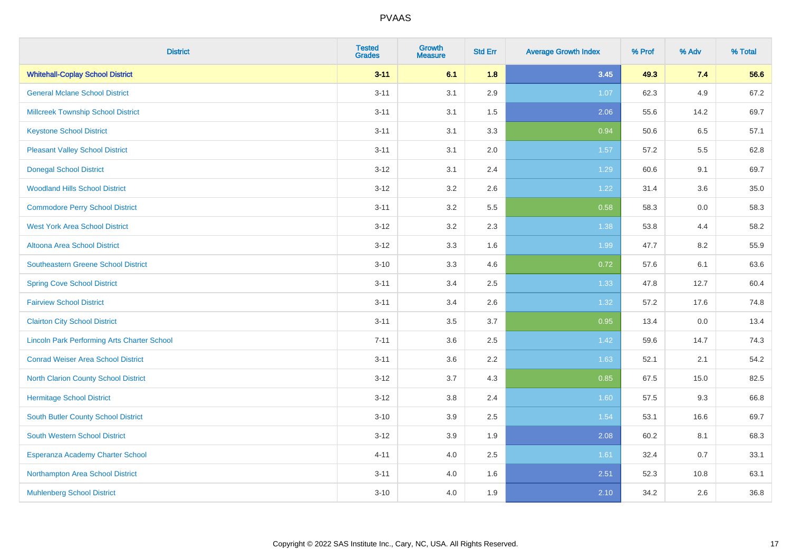| <b>District</b>                                    | <b>Tested</b><br><b>Grades</b> | <b>Growth</b><br><b>Measure</b> | <b>Std Err</b> | <b>Average Growth Index</b> | % Prof | % Adv | % Total |
|----------------------------------------------------|--------------------------------|---------------------------------|----------------|-----------------------------|--------|-------|---------|
| <b>Whitehall-Coplay School District</b>            | $3 - 11$                       | 6.1                             | 1.8            | 3.45                        | 49.3   | 7.4   | 56.6    |
| <b>General Mclane School District</b>              | $3 - 11$                       | 3.1                             | 2.9            | 1.07                        | 62.3   | 4.9   | 67.2    |
| <b>Millcreek Township School District</b>          | $3 - 11$                       | 3.1                             | 1.5            | 2.06                        | 55.6   | 14.2  | 69.7    |
| <b>Keystone School District</b>                    | $3 - 11$                       | 3.1                             | 3.3            | 0.94                        | 50.6   | 6.5   | 57.1    |
| <b>Pleasant Valley School District</b>             | $3 - 11$                       | 3.1                             | 2.0            | 1.57                        | 57.2   | 5.5   | 62.8    |
| <b>Donegal School District</b>                     | $3 - 12$                       | 3.1                             | 2.4            | 1.29                        | 60.6   | 9.1   | 69.7    |
| <b>Woodland Hills School District</b>              | $3-12$                         | 3.2                             | 2.6            | 1.22                        | 31.4   | 3.6   | 35.0    |
| <b>Commodore Perry School District</b>             | $3 - 11$                       | 3.2                             | 5.5            | 0.58                        | 58.3   | 0.0   | 58.3    |
| <b>West York Area School District</b>              | $3 - 12$                       | 3.2                             | 2.3            | 1.38                        | 53.8   | 4.4   | 58.2    |
| <b>Altoona Area School District</b>                | $3 - 12$                       | 3.3                             | 1.6            | 1.99                        | 47.7   | 8.2   | 55.9    |
| <b>Southeastern Greene School District</b>         | $3 - 10$                       | 3.3                             | 4.6            | 0.72                        | 57.6   | 6.1   | 63.6    |
| <b>Spring Cove School District</b>                 | $3 - 11$                       | 3.4                             | 2.5            | 1.33                        | 47.8   | 12.7  | 60.4    |
| <b>Fairview School District</b>                    | $3 - 11$                       | 3.4                             | 2.6            | 1.32                        | 57.2   | 17.6  | 74.8    |
| <b>Clairton City School District</b>               | $3 - 11$                       | 3.5                             | 3.7            | 0.95                        | 13.4   | 0.0   | 13.4    |
| <b>Lincoln Park Performing Arts Charter School</b> | $7 - 11$                       | 3.6                             | 2.5            | 1.42                        | 59.6   | 14.7  | 74.3    |
| <b>Conrad Weiser Area School District</b>          | $3 - 11$                       | 3.6                             | 2.2            | 1.63                        | 52.1   | 2.1   | 54.2    |
| <b>North Clarion County School District</b>        | $3 - 12$                       | 3.7                             | 4.3            | 0.85                        | 67.5   | 15.0  | 82.5    |
| <b>Hermitage School District</b>                   | $3-12$                         | 3.8                             | 2.4            | 1.60                        | 57.5   | 9.3   | 66.8    |
| South Butler County School District                | $3 - 10$                       | 3.9                             | 2.5            | 1.54                        | 53.1   | 16.6  | 69.7    |
| South Western School District                      | $3 - 12$                       | 3.9                             | 1.9            | 2.08                        | 60.2   | 8.1   | 68.3    |
| Esperanza Academy Charter School                   | $4 - 11$                       | 4.0                             | 2.5            | 1.61                        | 32.4   | 0.7   | 33.1    |
| Northampton Area School District                   | $3 - 11$                       | 4.0                             | 1.6            | 2.51                        | 52.3   | 10.8  | 63.1    |
| <b>Muhlenberg School District</b>                  | $3 - 10$                       | 4.0                             | 1.9            | 2.10                        | 34.2   | 2.6   | 36.8    |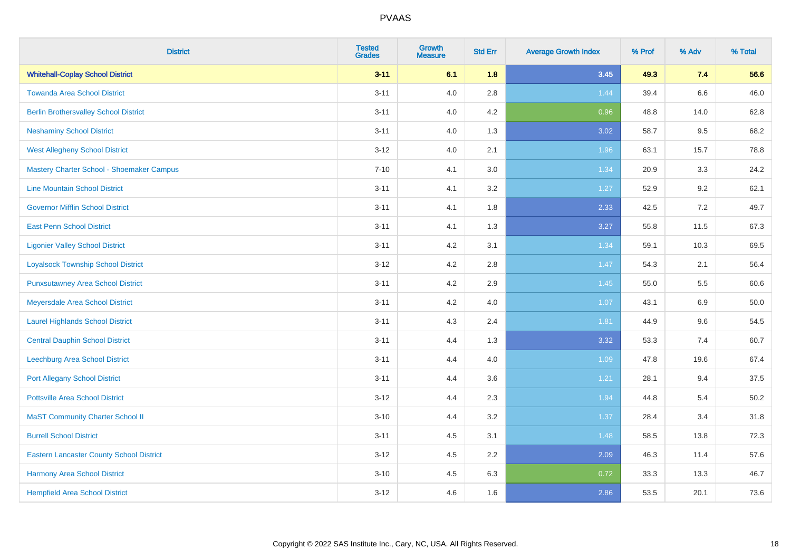| <b>District</b>                                 | <b>Tested</b><br><b>Grades</b> | <b>Growth</b><br><b>Measure</b> | <b>Std Err</b> | <b>Average Growth Index</b> | % Prof | % Adv | % Total  |
|-------------------------------------------------|--------------------------------|---------------------------------|----------------|-----------------------------|--------|-------|----------|
| <b>Whitehall-Coplay School District</b>         | $3 - 11$                       | 6.1                             | 1.8            | 3.45                        | 49.3   | 7.4   | 56.6     |
| <b>Towanda Area School District</b>             | $3 - 11$                       | 4.0                             | 2.8            | 1.44                        | 39.4   | 6.6   | 46.0     |
| <b>Berlin Brothersvalley School District</b>    | $3 - 11$                       | 4.0                             | 4.2            | 0.96                        | 48.8   | 14.0  | 62.8     |
| <b>Neshaminy School District</b>                | $3 - 11$                       | 4.0                             | 1.3            | 3.02                        | 58.7   | 9.5   | 68.2     |
| <b>West Allegheny School District</b>           | $3 - 12$                       | 4.0                             | 2.1            | 1.96                        | 63.1   | 15.7  | 78.8     |
| Mastery Charter School - Shoemaker Campus       | $7 - 10$                       | 4.1                             | 3.0            | 1.34                        | 20.9   | 3.3   | 24.2     |
| <b>Line Mountain School District</b>            | $3 - 11$                       | 4.1                             | 3.2            | 1.27                        | 52.9   | 9.2   | 62.1     |
| <b>Governor Mifflin School District</b>         | $3 - 11$                       | 4.1                             | 1.8            | 2.33                        | 42.5   | 7.2   | 49.7     |
| <b>East Penn School District</b>                | $3 - 11$                       | 4.1                             | 1.3            | 3.27                        | 55.8   | 11.5  | 67.3     |
| <b>Ligonier Valley School District</b>          | $3 - 11$                       | 4.2                             | 3.1            | 1.34                        | 59.1   | 10.3  | 69.5     |
| <b>Loyalsock Township School District</b>       | $3 - 12$                       | 4.2                             | 2.8            | 1.47                        | 54.3   | 2.1   | 56.4     |
| <b>Punxsutawney Area School District</b>        | $3 - 11$                       | 4.2                             | 2.9            | 1.45                        | 55.0   | 5.5   | 60.6     |
| Meyersdale Area School District                 | $3 - 11$                       | 4.2                             | 4.0            | 1.07                        | 43.1   | 6.9   | 50.0     |
| <b>Laurel Highlands School District</b>         | $3 - 11$                       | 4.3                             | 2.4            | 1.81                        | 44.9   | 9.6   | 54.5     |
| <b>Central Dauphin School District</b>          | $3 - 11$                       | 4.4                             | 1.3            | 3.32                        | 53.3   | 7.4   | 60.7     |
| Leechburg Area School District                  | $3 - 11$                       | 4.4                             | 4.0            | 1.09                        | 47.8   | 19.6  | 67.4     |
| <b>Port Allegany School District</b>            | $3 - 11$                       | 4.4                             | 3.6            | 1.21                        | 28.1   | 9.4   | 37.5     |
| <b>Pottsville Area School District</b>          | $3 - 12$                       | 4.4                             | 2.3            | 1.94                        | 44.8   | 5.4   | $50.2\,$ |
| <b>MaST Community Charter School II</b>         | $3 - 10$                       | 4.4                             | 3.2            | 1.37                        | 28.4   | 3.4   | 31.8     |
| <b>Burrell School District</b>                  | $3 - 11$                       | 4.5                             | 3.1            | 1.48                        | 58.5   | 13.8  | 72.3     |
| <b>Eastern Lancaster County School District</b> | $3 - 12$                       | 4.5                             | 2.2            | 2.09                        | 46.3   | 11.4  | 57.6     |
| Harmony Area School District                    | $3 - 10$                       | 4.5                             | 6.3            | 0.72                        | 33.3   | 13.3  | 46.7     |
| <b>Hempfield Area School District</b>           | $3 - 12$                       | 4.6                             | 1.6            | 2.86                        | 53.5   | 20.1  | 73.6     |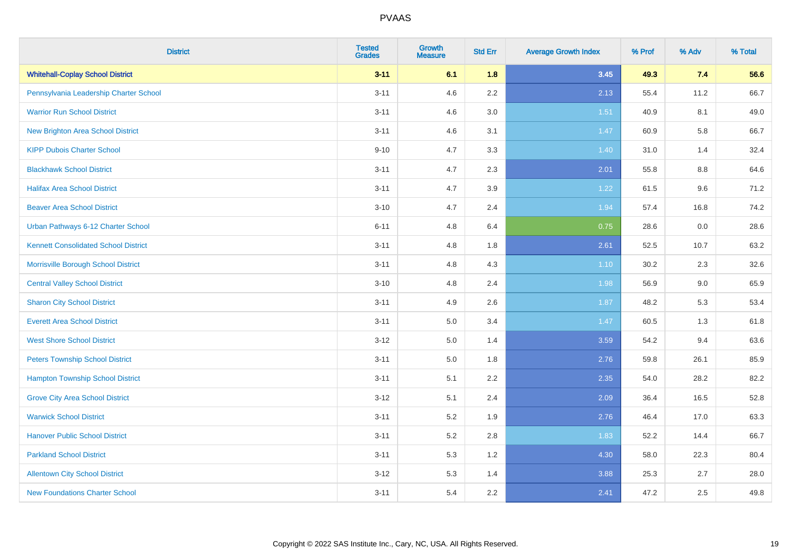| <b>District</b>                             | <b>Tested</b><br><b>Grades</b> | <b>Growth</b><br><b>Measure</b> | <b>Std Err</b> | <b>Average Growth Index</b> | % Prof | % Adv | % Total |
|---------------------------------------------|--------------------------------|---------------------------------|----------------|-----------------------------|--------|-------|---------|
| <b>Whitehall-Coplay School District</b>     | $3 - 11$                       | 6.1                             | 1.8            | 3.45                        | 49.3   | 7.4   | 56.6    |
| Pennsylvania Leadership Charter School      | $3 - 11$                       | 4.6                             | 2.2            | 2.13                        | 55.4   | 11.2  | 66.7    |
| <b>Warrior Run School District</b>          | $3 - 11$                       | 4.6                             | 3.0            | 1.51                        | 40.9   | 8.1   | 49.0    |
| <b>New Brighton Area School District</b>    | $3 - 11$                       | 4.6                             | 3.1            | 1.47                        | 60.9   | 5.8   | 66.7    |
| <b>KIPP Dubois Charter School</b>           | $9 - 10$                       | 4.7                             | 3.3            | 1.40                        | 31.0   | 1.4   | 32.4    |
| <b>Blackhawk School District</b>            | $3 - 11$                       | 4.7                             | 2.3            | 2.01                        | 55.8   | 8.8   | 64.6    |
| <b>Halifax Area School District</b>         | $3 - 11$                       | 4.7                             | 3.9            | 1.22                        | 61.5   | 9.6   | 71.2    |
| <b>Beaver Area School District</b>          | $3 - 10$                       | 4.7                             | 2.4            | 1.94                        | 57.4   | 16.8  | 74.2    |
| Urban Pathways 6-12 Charter School          | $6 - 11$                       | 4.8                             | 6.4            | 0.75                        | 28.6   | 0.0   | 28.6    |
| <b>Kennett Consolidated School District</b> | $3 - 11$                       | 4.8                             | 1.8            | 2.61                        | 52.5   | 10.7  | 63.2    |
| Morrisville Borough School District         | $3 - 11$                       | 4.8                             | 4.3            | $1.10$                      | 30.2   | 2.3   | 32.6    |
| <b>Central Valley School District</b>       | $3 - 10$                       | 4.8                             | 2.4            | 1.98                        | 56.9   | 9.0   | 65.9    |
| <b>Sharon City School District</b>          | $3 - 11$                       | 4.9                             | 2.6            | 1.87                        | 48.2   | 5.3   | 53.4    |
| <b>Everett Area School District</b>         | $3 - 11$                       | $5.0\,$                         | 3.4            | 1.47                        | 60.5   | 1.3   | 61.8    |
| <b>West Shore School District</b>           | $3 - 12$                       | 5.0                             | 1.4            | 3.59                        | 54.2   | 9.4   | 63.6    |
| <b>Peters Township School District</b>      | $3 - 11$                       | 5.0                             | 1.8            | 2.76                        | 59.8   | 26.1  | 85.9    |
| <b>Hampton Township School District</b>     | $3 - 11$                       | 5.1                             | 2.2            | 2.35                        | 54.0   | 28.2  | 82.2    |
| <b>Grove City Area School District</b>      | $3 - 12$                       | 5.1                             | 2.4            | 2.09                        | 36.4   | 16.5  | 52.8    |
| <b>Warwick School District</b>              | $3 - 11$                       | 5.2                             | 1.9            | 2.76                        | 46.4   | 17.0  | 63.3    |
| <b>Hanover Public School District</b>       | $3 - 11$                       | 5.2                             | 2.8            | 1.83                        | 52.2   | 14.4  | 66.7    |
| <b>Parkland School District</b>             | $3 - 11$                       | 5.3                             | 1.2            | 4.30                        | 58.0   | 22.3  | 80.4    |
| <b>Allentown City School District</b>       | $3 - 12$                       | 5.3                             | 1.4            | 3.88                        | 25.3   | 2.7   | 28.0    |
| <b>New Foundations Charter School</b>       | $3 - 11$                       | 5.4                             | 2.2            | 2.41                        | 47.2   | 2.5   | 49.8    |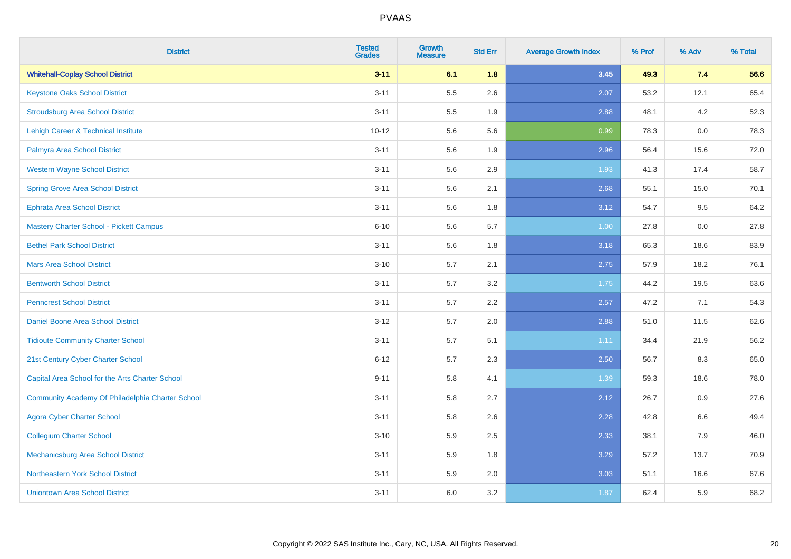| <b>District</b>                                  | <b>Tested</b><br><b>Grades</b> | <b>Growth</b><br><b>Measure</b> | <b>Std Err</b> | <b>Average Growth Index</b> | % Prof | % Adv | % Total |
|--------------------------------------------------|--------------------------------|---------------------------------|----------------|-----------------------------|--------|-------|---------|
| <b>Whitehall-Coplay School District</b>          | $3 - 11$                       | 6.1                             | 1.8            | 3.45                        | 49.3   | 7.4   | 56.6    |
| <b>Keystone Oaks School District</b>             | $3 - 11$                       | 5.5                             | 2.6            | 2.07                        | 53.2   | 12.1  | 65.4    |
| <b>Stroudsburg Area School District</b>          | $3 - 11$                       | 5.5                             | 1.9            | 2.88                        | 48.1   | 4.2   | 52.3    |
| Lehigh Career & Technical Institute              | $10 - 12$                      | 5.6                             | 5.6            | 0.99                        | 78.3   | 0.0   | 78.3    |
| Palmyra Area School District                     | $3 - 11$                       | 5.6                             | 1.9            | 2.96                        | 56.4   | 15.6  | 72.0    |
| <b>Western Wayne School District</b>             | $3 - 11$                       | 5.6                             | 2.9            | 1.93                        | 41.3   | 17.4  | 58.7    |
| <b>Spring Grove Area School District</b>         | $3 - 11$                       | 5.6                             | 2.1            | 2.68                        | 55.1   | 15.0  | 70.1    |
| <b>Ephrata Area School District</b>              | $3 - 11$                       | 5.6                             | 1.8            | 3.12                        | 54.7   | 9.5   | 64.2    |
| Mastery Charter School - Pickett Campus          | $6 - 10$                       | 5.6                             | 5.7            | 1.00                        | 27.8   | 0.0   | 27.8    |
| <b>Bethel Park School District</b>               | $3 - 11$                       | 5.6                             | 1.8            | 3.18                        | 65.3   | 18.6  | 83.9    |
| <b>Mars Area School District</b>                 | $3 - 10$                       | 5.7                             | 2.1            | 2.75                        | 57.9   | 18.2  | 76.1    |
| <b>Bentworth School District</b>                 | $3 - 11$                       | 5.7                             | 3.2            | 1.75                        | 44.2   | 19.5  | 63.6    |
| <b>Penncrest School District</b>                 | $3 - 11$                       | 5.7                             | 2.2            | 2.57                        | 47.2   | 7.1   | 54.3    |
| Daniel Boone Area School District                | $3 - 12$                       | 5.7                             | 2.0            | 2.88                        | 51.0   | 11.5  | 62.6    |
| <b>Tidioute Community Charter School</b>         | $3 - 11$                       | 5.7                             | 5.1            | 1.11                        | 34.4   | 21.9  | 56.2    |
| 21st Century Cyber Charter School                | $6 - 12$                       | 5.7                             | 2.3            | 2.50                        | 56.7   | 8.3   | 65.0    |
| Capital Area School for the Arts Charter School  | $9 - 11$                       | 5.8                             | 4.1            | 1.39                        | 59.3   | 18.6  | 78.0    |
| Community Academy Of Philadelphia Charter School | $3 - 11$                       | 5.8                             | 2.7            | 2.12                        | 26.7   | 0.9   | 27.6    |
| <b>Agora Cyber Charter School</b>                | $3 - 11$                       | 5.8                             | 2.6            | 2.28                        | 42.8   | 6.6   | 49.4    |
| <b>Collegium Charter School</b>                  | $3 - 10$                       | 5.9                             | 2.5            | 2.33                        | 38.1   | 7.9   | 46.0    |
| Mechanicsburg Area School District               | $3 - 11$                       | 5.9                             | 1.8            | 3.29                        | 57.2   | 13.7  | 70.9    |
| Northeastern York School District                | $3 - 11$                       | 5.9                             | 2.0            | 3.03                        | 51.1   | 16.6  | 67.6    |
| <b>Uniontown Area School District</b>            | $3 - 11$                       | 6.0                             | 3.2            | 1.87                        | 62.4   | 5.9   | 68.2    |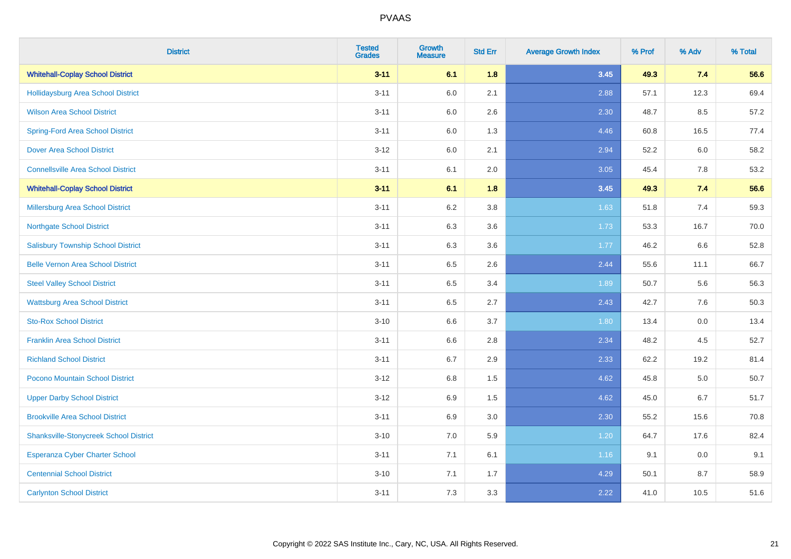| <b>District</b>                               | <b>Tested</b><br><b>Grades</b> | <b>Growth</b><br><b>Measure</b> | <b>Std Err</b> | <b>Average Growth Index</b> | % Prof | % Adv | % Total |
|-----------------------------------------------|--------------------------------|---------------------------------|----------------|-----------------------------|--------|-------|---------|
| <b>Whitehall-Coplay School District</b>       | $3 - 11$                       | 6.1                             | 1.8            | 3.45                        | 49.3   | 7.4   | 56.6    |
| Hollidaysburg Area School District            | $3 - 11$                       | 6.0                             | 2.1            | 2.88                        | 57.1   | 12.3  | 69.4    |
| <b>Wilson Area School District</b>            | $3 - 11$                       | 6.0                             | 2.6            | 2.30                        | 48.7   | 8.5   | 57.2    |
| <b>Spring-Ford Area School District</b>       | $3 - 11$                       | 6.0                             | 1.3            | 4.46                        | 60.8   | 16.5  | 77.4    |
| <b>Dover Area School District</b>             | $3 - 12$                       | 6.0                             | 2.1            | 2.94                        | 52.2   | 6.0   | 58.2    |
| <b>Connellsville Area School District</b>     | $3 - 11$                       | 6.1                             | 2.0            | 3.05                        | 45.4   | 7.8   | 53.2    |
| <b>Whitehall-Coplay School District</b>       | $3 - 11$                       | 6.1                             | 1.8            | 3.45                        | 49.3   | 7.4   | 56.6    |
| <b>Millersburg Area School District</b>       | $3 - 11$                       | 6.2                             | $3.8\,$        | 1.63                        | 51.8   | 7.4   | 59.3    |
| <b>Northgate School District</b>              | $3 - 11$                       | 6.3                             | 3.6            | 1.73                        | 53.3   | 16.7  | 70.0    |
| <b>Salisbury Township School District</b>     | $3 - 11$                       | 6.3                             | 3.6            | 1.77                        | 46.2   | 6.6   | 52.8    |
| <b>Belle Vernon Area School District</b>      | $3 - 11$                       | 6.5                             | 2.6            | 2.44                        | 55.6   | 11.1  | 66.7    |
| <b>Steel Valley School District</b>           | $3 - 11$                       | 6.5                             | 3.4            | 1.89                        | 50.7   | 5.6   | 56.3    |
| <b>Wattsburg Area School District</b>         | $3 - 11$                       | 6.5                             | 2.7            | 2.43                        | 42.7   | 7.6   | 50.3    |
| <b>Sto-Rox School District</b>                | $3 - 10$                       | 6.6                             | 3.7            | 1.80                        | 13.4   | 0.0   | 13.4    |
| <b>Franklin Area School District</b>          | $3 - 11$                       | 6.6                             | 2.8            | 2.34                        | 48.2   | 4.5   | 52.7    |
| <b>Richland School District</b>               | $3 - 11$                       | 6.7                             | 2.9            | 2.33                        | 62.2   | 19.2  | 81.4    |
| Pocono Mountain School District               | $3 - 12$                       | 6.8                             | 1.5            | 4.62                        | 45.8   | 5.0   | 50.7    |
| <b>Upper Darby School District</b>            | $3 - 12$                       | 6.9                             | 1.5            | 4.62                        | 45.0   | 6.7   | 51.7    |
| <b>Brookville Area School District</b>        | $3 - 11$                       | 6.9                             | 3.0            | 2.30                        | 55.2   | 15.6  | 70.8    |
| <b>Shanksville-Stonycreek School District</b> | $3 - 10$                       | 7.0                             | 5.9            | 1.20                        | 64.7   | 17.6  | 82.4    |
| <b>Esperanza Cyber Charter School</b>         | $3 - 11$                       | 7.1                             | 6.1            | 1.16                        | 9.1    | 0.0   | 9.1     |
| <b>Centennial School District</b>             | $3 - 10$                       | 7.1                             | 1.7            | 4.29                        | 50.1   | 8.7   | 58.9    |
| <b>Carlynton School District</b>              | $3 - 11$                       | 7.3                             | 3.3            | 2.22                        | 41.0   | 10.5  | 51.6    |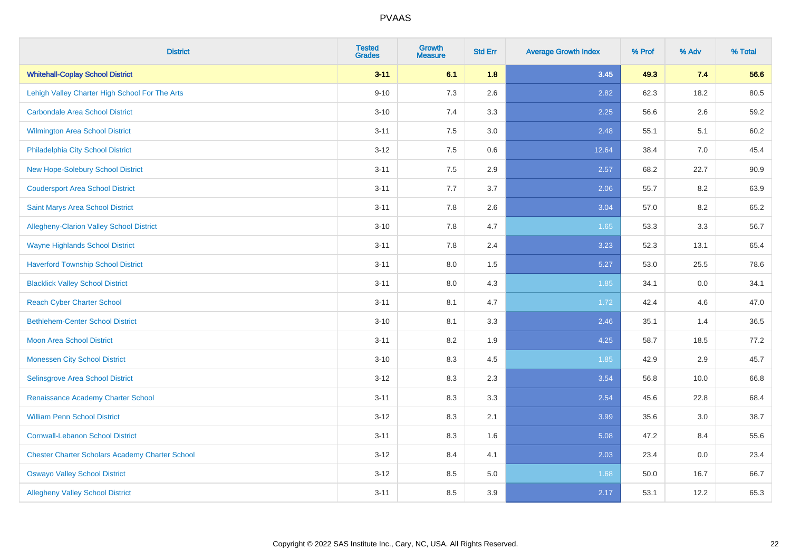| <b>District</b>                                        | <b>Tested</b><br><b>Grades</b> | <b>Growth</b><br><b>Measure</b> | <b>Std Err</b> | <b>Average Growth Index</b> | % Prof | % Adv | % Total |
|--------------------------------------------------------|--------------------------------|---------------------------------|----------------|-----------------------------|--------|-------|---------|
| <b>Whitehall-Coplay School District</b>                | $3 - 11$                       | 6.1                             | 1.8            | 3.45                        | 49.3   | 7.4   | 56.6    |
| Lehigh Valley Charter High School For The Arts         | $9 - 10$                       | 7.3                             | 2.6            | 2.82                        | 62.3   | 18.2  | 80.5    |
| <b>Carbondale Area School District</b>                 | $3 - 10$                       | 7.4                             | 3.3            | 2.25                        | 56.6   | 2.6   | 59.2    |
| <b>Wilmington Area School District</b>                 | $3 - 11$                       | 7.5                             | 3.0            | 2.48                        | 55.1   | 5.1   | 60.2    |
| Philadelphia City School District                      | $3 - 12$                       | 7.5                             | 0.6            | 12.64                       | 38.4   | 7.0   | 45.4    |
| New Hope-Solebury School District                      | $3 - 11$                       | 7.5                             | 2.9            | 2.57                        | 68.2   | 22.7  | 90.9    |
| <b>Coudersport Area School District</b>                | $3 - 11$                       | 7.7                             | 3.7            | 2.06                        | 55.7   | 8.2   | 63.9    |
| <b>Saint Marys Area School District</b>                | $3 - 11$                       | 7.8                             | 2.6            | 3.04                        | 57.0   | 8.2   | 65.2    |
| Allegheny-Clarion Valley School District               | $3 - 10$                       | 7.8                             | 4.7            | 1.65                        | 53.3   | 3.3   | 56.7    |
| <b>Wayne Highlands School District</b>                 | $3 - 11$                       | 7.8                             | 2.4            | 3.23                        | 52.3   | 13.1  | 65.4    |
| <b>Haverford Township School District</b>              | $3 - 11$                       | 8.0                             | 1.5            | 5.27                        | 53.0   | 25.5  | 78.6    |
| <b>Blacklick Valley School District</b>                | $3 - 11$                       | 8.0                             | 4.3            | 1.85                        | 34.1   | 0.0   | 34.1    |
| <b>Reach Cyber Charter School</b>                      | $3 - 11$                       | 8.1                             | 4.7            | 1.72                        | 42.4   | 4.6   | 47.0    |
| <b>Bethlehem-Center School District</b>                | $3 - 10$                       | 8.1                             | 3.3            | 2.46                        | 35.1   | 1.4   | 36.5    |
| <b>Moon Area School District</b>                       | $3 - 11$                       | 8.2                             | 1.9            | 4.25                        | 58.7   | 18.5  | 77.2    |
| <b>Monessen City School District</b>                   | $3 - 10$                       | 8.3                             | 4.5            | 1.85                        | 42.9   | 2.9   | 45.7    |
| Selinsgrove Area School District                       | $3 - 12$                       | 8.3                             | 2.3            | 3.54                        | 56.8   | 10.0  | 66.8    |
| Renaissance Academy Charter School                     | $3 - 11$                       | 8.3                             | 3.3            | 2.54                        | 45.6   | 22.8  | 68.4    |
| <b>William Penn School District</b>                    | $3 - 12$                       | 8.3                             | 2.1            | 3.99                        | 35.6   | 3.0   | 38.7    |
| <b>Cornwall-Lebanon School District</b>                | $3 - 11$                       | 8.3                             | 1.6            | 5.08                        | 47.2   | 8.4   | 55.6    |
| <b>Chester Charter Scholars Academy Charter School</b> | $3 - 12$                       | 8.4                             | 4.1            | 2.03                        | 23.4   | 0.0   | 23.4    |
| <b>Oswayo Valley School District</b>                   | $3 - 12$                       | 8.5                             | 5.0            | 1.68                        | 50.0   | 16.7  | 66.7    |
| <b>Allegheny Valley School District</b>                | $3 - 11$                       | 8.5                             | 3.9            | 2.17                        | 53.1   | 12.2  | 65.3    |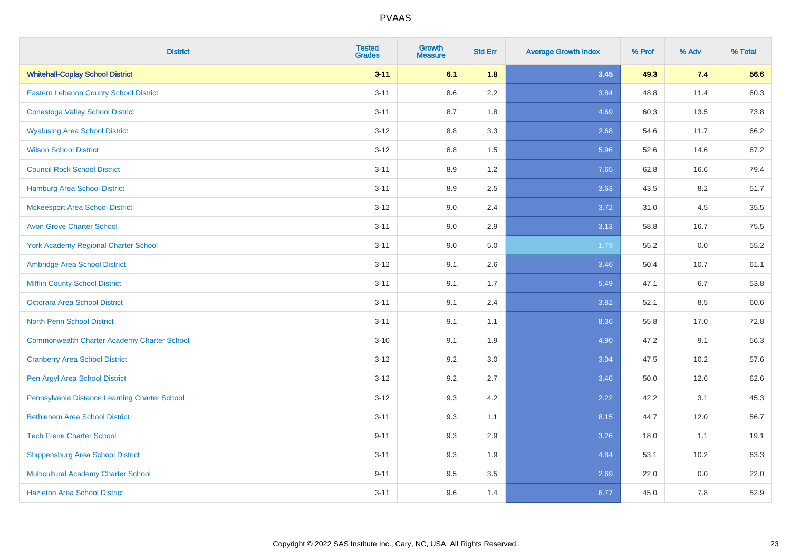| <b>District</b>                                    | <b>Tested</b><br><b>Grades</b> | <b>Growth</b><br><b>Measure</b> | <b>Std Err</b> | <b>Average Growth Index</b> | % Prof | % Adv | % Total |
|----------------------------------------------------|--------------------------------|---------------------------------|----------------|-----------------------------|--------|-------|---------|
| <b>Whitehall-Coplay School District</b>            | $3 - 11$                       | 6.1                             | 1.8            | 3.45                        | 49.3   | 7.4   | 56.6    |
| <b>Eastern Lebanon County School District</b>      | $3 - 11$                       | 8.6                             | 2.2            | 3.84                        | 48.8   | 11.4  | 60.3    |
| <b>Conestoga Valley School District</b>            | $3 - 11$                       | 8.7                             | 1.8            | 4.69                        | 60.3   | 13.5  | 73.8    |
| <b>Wyalusing Area School District</b>              | $3 - 12$                       | 8.8                             | 3.3            | 2.68                        | 54.6   | 11.7  | 66.2    |
| <b>Wilson School District</b>                      | $3 - 12$                       | 8.8                             | 1.5            | 5.96                        | 52.6   | 14.6  | 67.2    |
| <b>Council Rock School District</b>                | $3 - 11$                       | 8.9                             | 1.2            | 7.65                        | 62.8   | 16.6  | 79.4    |
| <b>Hamburg Area School District</b>                | $3 - 11$                       | 8.9                             | 2.5            | 3.63                        | 43.5   | 8.2   | 51.7    |
| <b>Mckeesport Area School District</b>             | $3 - 12$                       | 9.0                             | 2.4            | 3.72                        | 31.0   | 4.5   | 35.5    |
| <b>Avon Grove Charter School</b>                   | $3 - 11$                       | 9.0                             | 2.9            | 3.13                        | 58.8   | 16.7  | 75.5    |
| <b>York Academy Regional Charter School</b>        | $3 - 11$                       | 9.0                             | 5.0            | 1.79                        | 55.2   | 0.0   | 55.2    |
| Ambridge Area School District                      | $3 - 12$                       | 9.1                             | 2.6            | 3.46                        | 50.4   | 10.7  | 61.1    |
| <b>Mifflin County School District</b>              | $3 - 11$                       | 9.1                             | 1.7            | 5.49                        | 47.1   | 6.7   | 53.8    |
| <b>Octorara Area School District</b>               | $3 - 11$                       | 9.1                             | 2.4            | 3.82                        | 52.1   | 8.5   | 60.6    |
| <b>North Penn School District</b>                  | $3 - 11$                       | 9.1                             | 1.1            | 8.36                        | 55.8   | 17.0  | 72.8    |
| <b>Commonwealth Charter Academy Charter School</b> | $3 - 10$                       | 9.1                             | 1.9            | 4.90                        | 47.2   | 9.1   | 56.3    |
| <b>Cranberry Area School District</b>              | $3-12$                         | 9.2                             | 3.0            | 3.04                        | 47.5   | 10.2  | 57.6    |
| Pen Argyl Area School District                     | $3-12$                         | 9.2                             | 2.7            | 3.46                        | 50.0   | 12.6  | 62.6    |
| Pennsylvania Distance Learning Charter School      | $3 - 12$                       | 9.3                             | 4.2            | 2.22                        | 42.2   | 3.1   | 45.3    |
| <b>Bethlehem Area School District</b>              | $3 - 11$                       | 9.3                             | 1.1            | 8.15                        | 44.7   | 12.0  | 56.7    |
| <b>Tech Freire Charter School</b>                  | $9 - 11$                       | 9.3                             | 2.9            | 3.26                        | 18.0   | 1.1   | 19.1    |
| <b>Shippensburg Area School District</b>           | $3 - 11$                       | 9.3                             | 1.9            | 4.84                        | 53.1   | 10.2  | 63.3    |
| Multicultural Academy Charter School               | $9 - 11$                       | 9.5                             | 3.5            | 2.69                        | 22.0   | 0.0   | 22.0    |
| <b>Hazleton Area School District</b>               | $3 - 11$                       | 9.6                             | 1.4            | 6.77                        | 45.0   | 7.8   | 52.9    |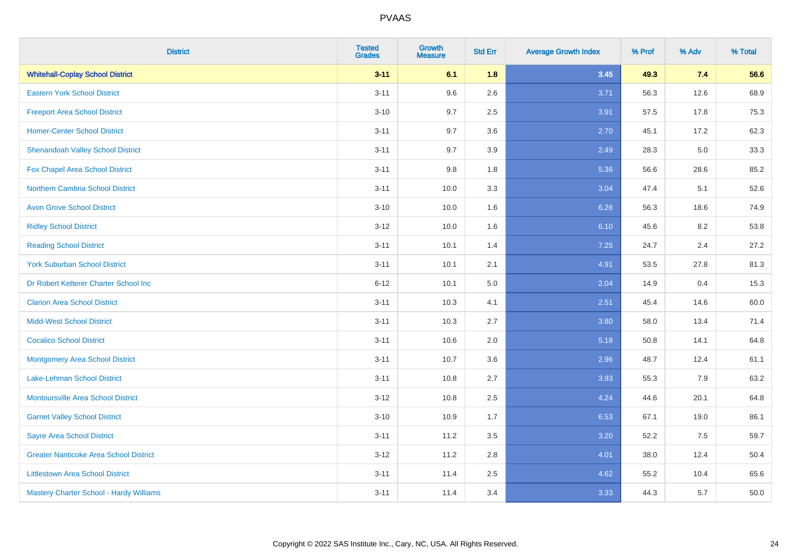| <b>District</b>                               | <b>Tested</b><br><b>Grades</b> | <b>Growth</b><br><b>Measure</b> | <b>Std Err</b> | <b>Average Growth Index</b> | % Prof | % Adv | % Total |
|-----------------------------------------------|--------------------------------|---------------------------------|----------------|-----------------------------|--------|-------|---------|
| <b>Whitehall-Coplay School District</b>       | $3 - 11$                       | 6.1                             | 1.8            | 3.45                        | 49.3   | 7.4   | 56.6    |
| <b>Eastern York School District</b>           | $3 - 11$                       | 9.6                             | 2.6            | 3.71                        | 56.3   | 12.6  | 68.9    |
| <b>Freeport Area School District</b>          | $3 - 10$                       | 9.7                             | 2.5            | 3.91                        | 57.5   | 17.8  | 75.3    |
| <b>Homer-Center School District</b>           | $3 - 11$                       | 9.7                             | 3.6            | 2.70                        | 45.1   | 17.2  | 62.3    |
| <b>Shenandoah Valley School District</b>      | $3 - 11$                       | 9.7                             | 3.9            | 2.49                        | 28.3   | 5.0   | 33.3    |
| <b>Fox Chapel Area School District</b>        | $3 - 11$                       | 9.8                             | 1.8            | 5.36                        | 56.6   | 28.6  | 85.2    |
| <b>Northern Cambria School District</b>       | $3 - 11$                       | 10.0                            | 3.3            | 3.04                        | 47.4   | 5.1   | 52.6    |
| <b>Avon Grove School District</b>             | $3 - 10$                       | 10.0                            | 1.6            | 6.26                        | 56.3   | 18.6  | 74.9    |
| <b>Ridley School District</b>                 | $3 - 12$                       | 10.0                            | 1.6            | 6.10                        | 45.6   | 8.2   | 53.8    |
| <b>Reading School District</b>                | $3 - 11$                       | 10.1                            | 1.4            | 7.25                        | 24.7   | 2.4   | 27.2    |
| <b>York Suburban School District</b>          | $3 - 11$                       | 10.1                            | 2.1            | 4.91                        | 53.5   | 27.8  | 81.3    |
| Dr Robert Ketterer Charter School Inc         | $6 - 12$                       | 10.1                            | 5.0            | 2.04                        | 14.9   | 0.4   | 15.3    |
| <b>Clarion Area School District</b>           | $3 - 11$                       | 10.3                            | 4.1            | 2.51                        | 45.4   | 14.6  | 60.0    |
| <b>Midd-West School District</b>              | $3 - 11$                       | 10.3                            | 2.7            | 3.80                        | 58.0   | 13.4  | 71.4    |
| <b>Cocalico School District</b>               | $3 - 11$                       | 10.6                            | 2.0            | 5.18                        | 50.8   | 14.1  | 64.8    |
| <b>Montgomery Area School District</b>        | $3 - 11$                       | 10.7                            | 3.6            | 2.96                        | 48.7   | 12.4  | 61.1    |
| Lake-Lehman School District                   | $3 - 11$                       | 10.8                            | 2.7            | 3.93                        | 55.3   | 7.9   | 63.2    |
| <b>Montoursville Area School District</b>     | $3 - 12$                       | 10.8                            | 2.5            | 4.24                        | 44.6   | 20.1  | 64.8    |
| <b>Garnet Valley School District</b>          | $3 - 10$                       | 10.9                            | 1.7            | 6.53                        | 67.1   | 19.0  | 86.1    |
| <b>Sayre Area School District</b>             | $3 - 11$                       | 11.2                            | 3.5            | 3.20                        | 52.2   | 7.5   | 59.7    |
| <b>Greater Nanticoke Area School District</b> | $3-12$                         | 11.2                            | 2.8            | 4.01                        | 38.0   | 12.4  | 50.4    |
| <b>Littlestown Area School District</b>       | $3 - 11$                       | 11.4                            | 2.5            | 4.62                        | 55.2   | 10.4  | 65.6    |
| Mastery Charter School - Hardy Williams       | $3 - 11$                       | 11.4                            | 3.4            | 3.33                        | 44.3   | 5.7   | 50.0    |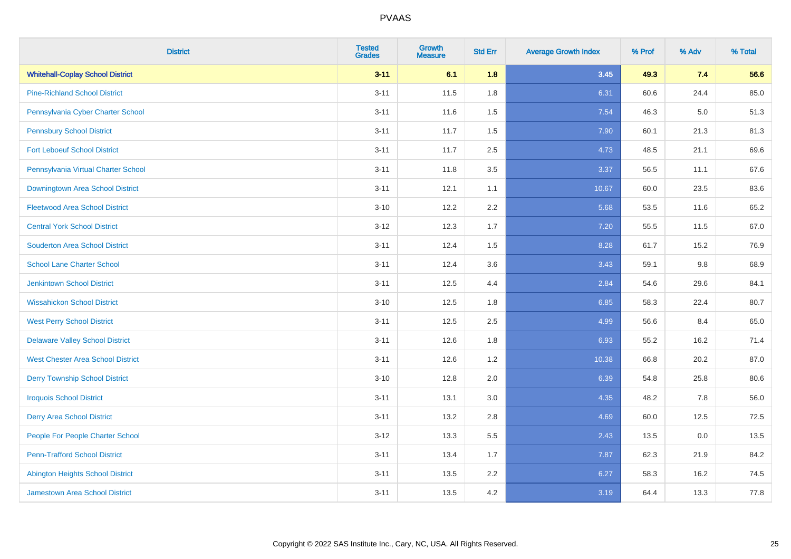| <b>District</b>                          | <b>Tested</b><br><b>Grades</b> | <b>Growth</b><br><b>Measure</b> | <b>Std Err</b> | <b>Average Growth Index</b> | % Prof | % Adv   | % Total |
|------------------------------------------|--------------------------------|---------------------------------|----------------|-----------------------------|--------|---------|---------|
| <b>Whitehall-Coplay School District</b>  | $3 - 11$                       | 6.1                             | 1.8            | 3.45                        | 49.3   | 7.4     | 56.6    |
| <b>Pine-Richland School District</b>     | $3 - 11$                       | 11.5                            | 1.8            | 6.31                        | 60.6   | 24.4    | 85.0    |
| Pennsylvania Cyber Charter School        | $3 - 11$                       | 11.6                            | 1.5            | 7.54                        | 46.3   | $5.0\,$ | 51.3    |
| <b>Pennsbury School District</b>         | $3 - 11$                       | 11.7                            | 1.5            | 7.90                        | 60.1   | 21.3    | 81.3    |
| <b>Fort Leboeuf School District</b>      | $3 - 11$                       | 11.7                            | 2.5            | 4.73                        | 48.5   | 21.1    | 69.6    |
| Pennsylvania Virtual Charter School      | $3 - 11$                       | 11.8                            | 3.5            | 3.37                        | 56.5   | 11.1    | 67.6    |
| Downingtown Area School District         | $3 - 11$                       | 12.1                            | 1.1            | 10.67                       | 60.0   | 23.5    | 83.6    |
| <b>Fleetwood Area School District</b>    | $3 - 10$                       | 12.2                            | 2.2            | 5.68                        | 53.5   | 11.6    | 65.2    |
| <b>Central York School District</b>      | $3 - 12$                       | 12.3                            | 1.7            | 7.20                        | 55.5   | 11.5    | 67.0    |
| <b>Souderton Area School District</b>    | $3 - 11$                       | 12.4                            | 1.5            | 8.28                        | 61.7   | 15.2    | 76.9    |
| <b>School Lane Charter School</b>        | $3 - 11$                       | 12.4                            | 3.6            | 3.43                        | 59.1   | 9.8     | 68.9    |
| Jenkintown School District               | $3 - 11$                       | 12.5                            | 4.4            | 2.84                        | 54.6   | 29.6    | 84.1    |
| <b>Wissahickon School District</b>       | $3 - 10$                       | 12.5                            | 1.8            | 6.85                        | 58.3   | 22.4    | 80.7    |
| <b>West Perry School District</b>        | $3 - 11$                       | 12.5                            | 2.5            | 4.99                        | 56.6   | 8.4     | 65.0    |
| <b>Delaware Valley School District</b>   | $3 - 11$                       | 12.6                            | 1.8            | 6.93                        | 55.2   | 16.2    | 71.4    |
| <b>West Chester Area School District</b> | $3 - 11$                       | 12.6                            | 1.2            | 10.38                       | 66.8   | 20.2    | 87.0    |
| <b>Derry Township School District</b>    | $3 - 10$                       | 12.8                            | 2.0            | 6.39                        | 54.8   | 25.8    | 80.6    |
| <b>Iroquois School District</b>          | $3 - 11$                       | 13.1                            | 3.0            | 4.35                        | 48.2   | 7.8     | 56.0    |
| <b>Derry Area School District</b>        | $3 - 11$                       | 13.2                            | 2.8            | 4.69                        | 60.0   | 12.5    | 72.5    |
| People For People Charter School         | $3 - 12$                       | 13.3                            | 5.5            | 2.43                        | 13.5   | 0.0     | 13.5    |
| <b>Penn-Trafford School District</b>     | $3 - 11$                       | 13.4                            | 1.7            | 7.87                        | 62.3   | 21.9    | 84.2    |
| <b>Abington Heights School District</b>  | $3 - 11$                       | 13.5                            | 2.2            | 6.27                        | 58.3   | 16.2    | 74.5    |
| <b>Jamestown Area School District</b>    | $3 - 11$                       | 13.5                            | 4.2            | 3.19                        | 64.4   | 13.3    | 77.8    |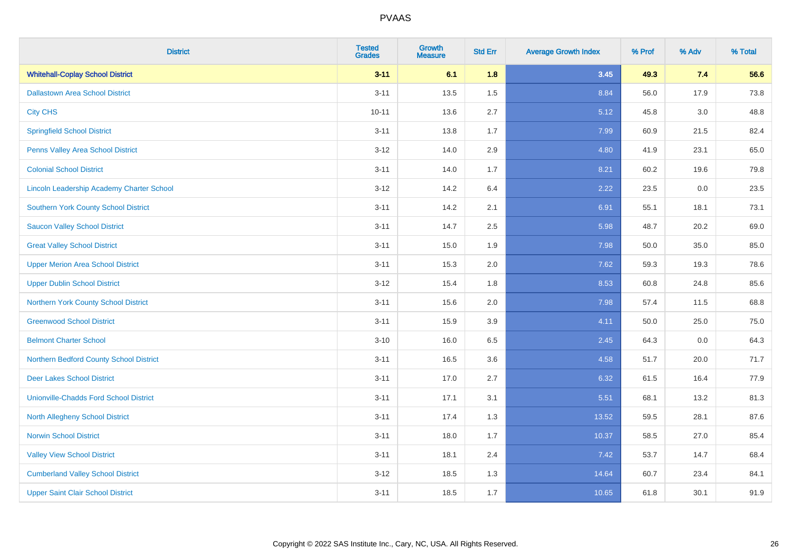| <b>District</b>                               | <b>Tested</b><br><b>Grades</b> | <b>Growth</b><br><b>Measure</b> | <b>Std Err</b> | <b>Average Growth Index</b> | % Prof | % Adv | % Total |
|-----------------------------------------------|--------------------------------|---------------------------------|----------------|-----------------------------|--------|-------|---------|
| <b>Whitehall-Coplay School District</b>       | $3 - 11$                       | 6.1                             | 1.8            | 3.45                        | 49.3   | 7.4   | 56.6    |
| <b>Dallastown Area School District</b>        | $3 - 11$                       | 13.5                            | 1.5            | 8.84                        | 56.0   | 17.9  | 73.8    |
| <b>City CHS</b>                               | $10 - 11$                      | 13.6                            | 2.7            | 5.12                        | 45.8   | 3.0   | 48.8    |
| <b>Springfield School District</b>            | $3 - 11$                       | 13.8                            | 1.7            | 7.99                        | 60.9   | 21.5  | 82.4    |
| Penns Valley Area School District             | $3 - 12$                       | 14.0                            | 2.9            | 4.80                        | 41.9   | 23.1  | 65.0    |
| <b>Colonial School District</b>               | $3 - 11$                       | 14.0                            | 1.7            | 8.21                        | 60.2   | 19.6  | 79.8    |
| Lincoln Leadership Academy Charter School     | $3 - 12$                       | 14.2                            | 6.4            | 2.22                        | 23.5   | 0.0   | 23.5    |
| <b>Southern York County School District</b>   | $3 - 11$                       | 14.2                            | 2.1            | 6.91                        | 55.1   | 18.1  | 73.1    |
| <b>Saucon Valley School District</b>          | $3 - 11$                       | 14.7                            | 2.5            | 5.98                        | 48.7   | 20.2  | 69.0    |
| <b>Great Valley School District</b>           | $3 - 11$                       | 15.0                            | 1.9            | 7.98                        | 50.0   | 35.0  | 85.0    |
| <b>Upper Merion Area School District</b>      | $3 - 11$                       | 15.3                            | 2.0            | 7.62                        | 59.3   | 19.3  | 78.6    |
| <b>Upper Dublin School District</b>           | $3 - 12$                       | 15.4                            | 1.8            | 8.53                        | 60.8   | 24.8  | 85.6    |
| <b>Northern York County School District</b>   | $3 - 11$                       | 15.6                            | 2.0            | 7.98                        | 57.4   | 11.5  | 68.8    |
| <b>Greenwood School District</b>              | $3 - 11$                       | 15.9                            | 3.9            | 4.11                        | 50.0   | 25.0  | 75.0    |
| <b>Belmont Charter School</b>                 | $3 - 10$                       | 16.0                            | 6.5            | 2.45                        | 64.3   | 0.0   | 64.3    |
| Northern Bedford County School District       | $3 - 11$                       | 16.5                            | 3.6            | 4.58                        | 51.7   | 20.0  | 71.7    |
| <b>Deer Lakes School District</b>             | $3 - 11$                       | 17.0                            | 2.7            | 6.32                        | 61.5   | 16.4  | 77.9    |
| <b>Unionville-Chadds Ford School District</b> | $3 - 11$                       | 17.1                            | 3.1            | 5.51                        | 68.1   | 13.2  | 81.3    |
| <b>North Allegheny School District</b>        | $3 - 11$                       | 17.4                            | 1.3            | 13.52                       | 59.5   | 28.1  | 87.6    |
| <b>Norwin School District</b>                 | $3 - 11$                       | 18.0                            | 1.7            | 10.37                       | 58.5   | 27.0  | 85.4    |
| <b>Valley View School District</b>            | $3 - 11$                       | 18.1                            | 2.4            | 7.42                        | 53.7   | 14.7  | 68.4    |
| <b>Cumberland Valley School District</b>      | $3 - 12$                       | 18.5                            | 1.3            | 14.64                       | 60.7   | 23.4  | 84.1    |
| <b>Upper Saint Clair School District</b>      | $3 - 11$                       | 18.5                            | 1.7            | 10.65                       | 61.8   | 30.1  | 91.9    |